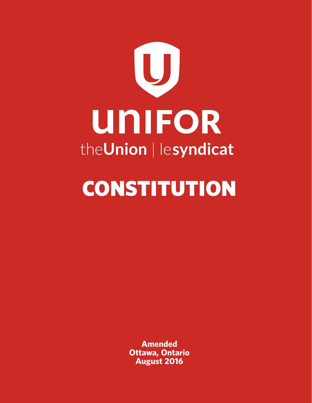

# **CONSTITUTION**

**Amended Ottawa, Ontario August 2016**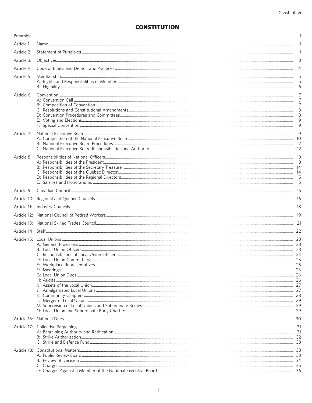# **CONSTITUTION**

| Preamble   |                                                                                                                                       | $\mathbf{1}$                            |
|------------|---------------------------------------------------------------------------------------------------------------------------------------|-----------------------------------------|
| Article 1: |                                                                                                                                       | 1                                       |
| Article 2: |                                                                                                                                       | 1                                       |
| Article 3: |                                                                                                                                       | 3                                       |
| Article 4: |                                                                                                                                       | $\overline{4}$                          |
| Article 5: |                                                                                                                                       | 5<br>6                                  |
| Article 6: | $\begin{minipage}{.4\linewidth} \textbf{Convention} \begin{minipage}{.4\linewidth} \textbf{Convention} \end{minipage} \end{minipage}$ | $\overline{7}$<br>7<br>7<br>8<br>8<br>9 |
| Article 7: |                                                                                                                                       |                                         |
| Article 8  |                                                                                                                                       |                                         |
| Article 9: |                                                                                                                                       |                                         |
|            |                                                                                                                                       |                                         |
|            |                                                                                                                                       |                                         |
|            |                                                                                                                                       |                                         |
|            |                                                                                                                                       |                                         |
|            |                                                                                                                                       |                                         |
|            |                                                                                                                                       |                                         |
|            |                                                                                                                                       |                                         |
|            |                                                                                                                                       |                                         |
|            |                                                                                                                                       |                                         |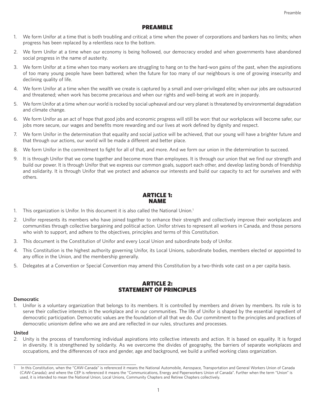# PREAMBLE

- 1. We form Unifor at a time that is both troubling and critical; a time when the power of corporations and bankers has no limits; when progress has been replaced by a relentless race to the bottom.
- 2. We form Unifor at a time when our economy is being hollowed, our democracy eroded and when governments have abandoned social progress in the name of austerity.
- 3. We form Unifor at a time when too many workers are struggling to hang on to the hard-won gains of the past, when the aspirations of too many young people have been battered; when the future for too many of our neighbours is one of growing insecurity and declining quality of life.
- 4. We form Unifor at a time when the wealth we create is captured by a small and over-privileged elite; when our jobs are outsourced and threatened; when work has become precarious and when our rights and well-being at work are in jeopardy.
- 5. We form Unifor at a time when our world is rocked by social upheaval and our very planet is threatened by environmental degradation and climate change.
- 6. We form Unifor as an act of hope that good jobs and economic progress will still be won: that our workplaces will become safer, our jobs more secure, our wages and benefits more rewarding and our lives at work defined by dignity and respect.
- 7. We form Unifor in the determination that equality and social justice will be achieved, that our young will have a brighter future and that through our actions, our world will be made a different and better place.
- 8. We form Unifor in the commitment to fight for all of that, and more. And we form our union in the determination to succeed.
- 9. It is through Unifor that we come together and become more than employees. It is through our union that we find our strength and build our power. It is through Unifor that we express our common goals, support each other, and develop lasting bonds of friendship and solidarity. It is through Unifor that we protect and advance our interests and build our capacity to act for ourselves and with others.

# ARTICLE 1: NAME

- 1. This organization is Unifor. In this document it is also called the National Union.<sup>1</sup>
- 2. Unifor represents its members who have joined together to enhance their strength and collectively improve their workplaces and communities through collective bargaining and political action. Unifor strives to represent all workers in Canada, and those persons who wish to support, and adhere to the objectives, principles and terms of this Constitution.
- 3. This document is the Constitution of Unifor and every Local Union and subordinate body of Unifor.
- 4. This Constitution is the highest authority governing Unifor, its Local Unions, subordinate bodies, members elected or appointed to any office in the Union, and the membership generally.
- 5. Delegates at a Convention or Special Convention may amend this Constitution by a two-thirds vote cast on a per capita basis.

# ARTICLE 2: STATEMENT OF PRINCIPLES

#### **Democratic**

1. Unifor is a voluntary organization that belongs to its members. It is controlled by members and driven by members. Its role is to serve their collective interests in the workplace and in our communities. The life of Unifor is shaped by the essential ingredient of democratic participation. Democratic values are the foundation of all that we do. Our commitment to the principles and practices of democratic unionism define who we are and are reflected in our rules, structures and processes.

#### **United**

2. Unity is the process of transforming individual aspirations into collective interests and action. It is based on equality. It is forged in diversity. It is strengthened by solidarity. As we overcome the divides of geography, the barriers of separate workplaces and occupations, and the differences of race and gender, age and background, we build a unified working class organization.

In this Constitution, when the "CAW-Canada" is referenced it means the National Automobile, Aerospace, Transportation and General Workers Union of Canada (CAW-Canada); and where the CEP is referenced it means the "Communications, Energy and Paperworkers Union of Canada". Further when the term "Union" is used, it is intended to mean the National Union, Local Unions, Community Chapters and Retiree Chapters collectively.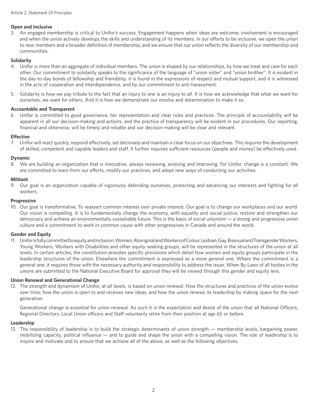## **Open and Inclusive**

3. An engaged membership is critical to Unifor's success. Engagement happens when ideas are welcome, involvement is encouraged and when the union actively develops the skills and understanding of its members. In our efforts to be inclusive, we open the union to new members and a broader definition of membership, and we ensure that our union reflects the diversity of our membership and communities.

## **Solidarity**

- 4. Unifor is more than an aggregate of individual members. The union is shaped by our relationships, by how we treat and care for each other. Our commitment to solidarity speaks to the significance of the language of "union sister" and "union brother". It is evident in the day-to-day bonds of fellowship and friendship, it is found in the expressions of respect and mutual support, and it is witnessed in the acts of cooperation and interdependence, and by our commitment to anti-harassment.
- 5. Solidarity is how we pay tribute to the fact that an injury to one is an injury to all. It is how we acknowledge that what we want for ourselves, we want for others. And it is how we demonstrate our resolve and determination to make it so.

## **Accountable and Transparent**

6. Unifor is committed to good governance, fair representation and clear rules and practices. The principle of accountability will be apparent in all our decision-making and actions, and the practice of transparency will be evident in our procedures. Our reporting, financial and otherwise, will be timely and reliable and our decision-making will be clear and relevant.

## **Effective**

7. Unifor will react quickly, respond effectively, set decisively and maintain a clear focus on our objectives. This requires the development of skilled, competent and capable leaders and staff. It further requires sufficient resources (people and money) be effectively used.

## **Dynamic**

8. We are building an organization that is innovative, always reviewing, evolving and improving. For Unifor, change is a constant. We are committed to learn from our efforts, modify our practices, and adopt new ways of conducting our activities.

#### **Militant**

9. Our goal is an organization capable of vigorously defending ourselves, protecting and advancing our interests and fighting for all workers.

#### **Progressive**

10. Our goal is transformative. To reassert common interest over private interest. Our goal is to change our workplaces and our world. Our vision is compelling. It is to fundamentally change the economy, with equality and social justice, restore and strengthen our democracy and achieve an environmentally sustainable future. This is the basis of social unionism — a strong and progressive union culture and a commitment to work in common cause with other progressives in Canada and around the world.

## **Gender and Equity**

11. Unifor is fully committed to equity and inclusion. Women, Aboriginal and Workers of Colour, Lesbian, Gay, Bisexual and Transgender Workers, Young Workers, Workers with Disabilities and other equity-seeking groups, will be represented in the structures of the union at all levels. In certain articles, the constitution provides specific provisions which detail how women and equity groups participate in the leadership structures of the union. Elsewhere the commitment is expressed as a more general one. Where the commitment is a general one, it requires those with the necessary authority and responsibility to address the issue. When By-Laws of all bodies in the unions are submitted to the National Executive Board for approval they will be viewed through this gender and equity lens.

## **Union Renewal and Generational Change**

12. The strength and dynamism of Unifor, at all levels, is based on union renewal. How the structures and practices of the union evolve over time; how the union is open to and receives new ideas, and how the union renews its leadership by making space for the next generation.

 Generational change is essential for union renewal. As such it is the expectation and desire of the union that all National Officers, Regional Directors, Local Union officers and Staff voluntarily retire from their position at age 65 or before.

## **Leadership**

13. The responsibility of leadership is to build the strategic determinants of union strength — membership levels, bargaining power, mobilizing capacity, political influence — and to guide and shape the union with a compelling vision. The role of leadership is to inspire and motivate and to ensure that we achieve all of the above, as well as the following objectives.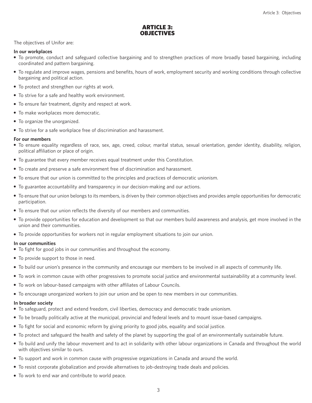## ARTICLE 3: **OBJECTIVES**

The objectives of Unifor are:

#### **In our workplaces**

- To promote, conduct and safeguard collective bargaining and to strengthen practices of more broadly based bargaining, including coordinated and pattern bargaining.
- To regulate and improve wages, pensions and benefits, hours of work, employment security and working conditions through collective bargaining and political action.
- To protect and strengthen our rights at work.
- To strive for a safe and healthy work environment.
- To ensure fair treatment, dignity and respect at work.
- To make workplaces more democratic.
- To organize the unorganized.
- To strive for a safe workplace free of discrimination and harassment.

#### **For our members**

- To ensure equality regardless of race, sex, age, creed, colour, marital status, sexual orientation, gender identity, disability, religion, political affiliation or place of origin.
- To guarantee that every member receives equal treatment under this Constitution.
- To create and preserve a safe environment free of discrimination and harassment.
- To ensure that our union is committed to the principles and practices of democratic unionism.
- To guarantee accountability and transparency in our decision-making and our actions.
- To ensure that our union belongs to its members, is driven by their common objectives and provides ample opportunities for democratic participation.
- To ensure that our union reflects the diversity of our members and communities.
- To provide opportunities for education and development so that our members build awareness and analysis, get more involved in the union and their communities.
- To provide opportunities for workers not in regular employment situations to join our union.

#### **In our communities**

- To fight for good jobs in our communities and throughout the economy.
- To provide support to those in need.
- To build our union's presence in the community and encourage our members to be involved in all aspects of community life.
- To work in common cause with other progressives to promote social justice and environmental sustainability at a community level.
- To work on labour-based campaigns with other affiliates of Labour Councils.
- To encourage unorganized workers to join our union and be open to new members in our communities.

#### **In broader society**

- To safeguard, protect and extend freedom, civil liberties, democracy and democratic trade unionism.
- To be broadly politically active at the municipal, provincial and federal levels and to mount issue-based campaigns.
- To fight for social and economic reform by giving priority to good jobs, equality and social justice.
- To protect and safeguard the health and safety of the planet by supporting the goal of an environmentally sustainable future.
- To build and unify the labour movement and to act in solidarity with other labour organizations in Canada and throughout the world with objectives similar to ours.
- To support and work in common cause with progressive organizations in Canada and around the world.
- To resist corporate globalization and provide alternatives to job-destroying trade deals and policies.
- To work to end war and contribute to world peace.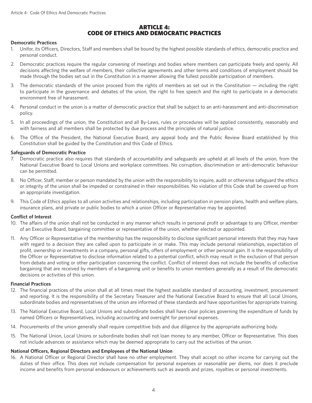## ARTICLE 4: CODE OF ETHICS AND DEMOCRATIC PRACTICES

## **Democratic Practices**

- 1. Unifor, its Officers, Directors, Staff and members shall be bound by the highest possible standards of ethics, democratic practice and personal conduct.
- 2. Democratic practices require the regular convening of meetings and bodies where members can participate freely and openly. All decisions affecting the welfare of members, their collective agreements and other terms and conditions of employment should be made through the bodies set out in the Constitution in a manner allowing the fullest possible participation of members.
- 3. The democratic standards of the union proceed from the rights of members as set out in the Constitution including the right to participate in the governance and debates of the union, the right to free speech and the right to participate in a democratic environment free of harassment.
- 4. Personal conduct in the union is a matter of democratic practice that shall be subject to an anti-harassment and anti-discrimination policy.
- 5. In all proceedings of the union, the Constitution and all By-Laws, rules or procedures will be applied consistently, reasonably and with fairness and all members shall be protected by due process and the principles of natural justice.
- 6. The Office of the President, the National Executive Board, any appeal body and the Public Review Board established by this Constitution shall be guided by the Constitution and this Code of Ethics.

#### **Safeguards of Democratic Practice**

- 7. Democratic practice also requires that standards of accountability and safeguards are upheld at all levels of the union, from the National Executive Board to Local Unions and workplace committees. No corruption, discrimination or anti-democratic behaviour can be permitted.
- 8. No Officer, Staff, member or person mandated by the union with the responsibility to inquire, audit or otherwise safeguard the ethics or integrity of the union shall be impeded or constrained in their responsibilities. No violation of this Code shall be covered up from an appropriate investigation.
- 9. This Code of Ethics applies to all union activities and relationships, including participation in pension plans, health and welfare plans, insurance plans, and private or public bodies to which a union Officer or Representative may be appointed.

## **Conflict of Interest**

- 10. The affairs of the union shall not be conducted in any manner which results in personal profit or advantage to any Officer, member of an Executive Board, bargaining committee or representative of the union, whether elected or appointed.
- 11. Any Officer or Representative of the membership has the responsibility to disclose significant personal interests that they may have with regard to a decision they are called upon to participate in or make. This may include personal relationships, expectation of profit, ownership or investments in a company, personal gifts, offers of employment or other personal gain. It is the responsibility of the Officer or Representative to disclose information related to a potential conflict, which may result in the exclusion of that person from debate and voting or other participation concerning the conflict. Conflict of interest does not include the benefits of collective bargaining that are received by members of a bargaining unit or benefits to union members generally as a result of the democratic decisions or activities of this union.

#### **Financial Practices**

- 12. The financial practices of the union shall at all times meet the highest available standard of accounting, investment, procurement and reporting. It is the responsibility of the Secretary Treasurer and the National Executive Board to ensure that all Local Unions, subordinate bodies and representatives of the union are informed of these standards and have opportunities for appropriate training.
- 13. The National Executive Board, Local Unions and subordinate bodies shall have clear policies governing the expenditure of funds by named Officers or Representatives, including accounting and oversight for personal expenses.
- 14. Procurements of the union generally shall require competitive bids and due diligence by the appropriate authorizing body.
- 15. The National Union, Local Unions or subordinate bodies shall not loan money to any member, Officer or Representative. This does not include advances or assistance which may be deemed appropriate to carry out the activities of the union.

## **National Officers, Regional Directors and Employees of the National Union**

16. A National Officer or Regional Director shall have no other employment. They shall accept no other income for carrying out the duties of their office. This does not include compensation for personal expenses or reasonable per diems, nor does it preclude income and benefits from personal endeavours or achievements such as awards and prizes, royalties or personal investments.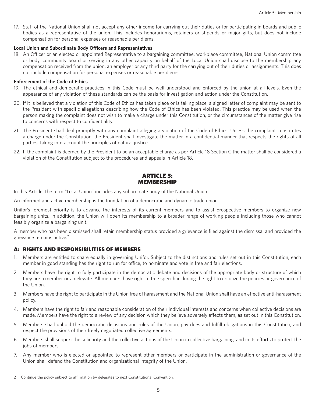17. Staff of the National Union shall not accept any other income for carrying out their duties or for participating in boards and public bodies as a representative of the union. This includes honorariums, retainers or stipends or major gifts, but does not include compensation for personal expenses or reasonable per diems.

#### **Local Union and Subordinate Body Officers and Representatives**

18. An Officer or an elected or appointed Representative to a bargaining committee, workplace committee, National Union committee or body, community board or serving in any other capacity on behalf of the Local Union shall disclose to the membership any compensation received from the union, an employer or any third party for the carrying out of their duties or assignments. This does not include compensation for personal expenses or reasonable per diems.

#### **Enforcement of the Code of Ethics**

- 19. The ethical and democratic practices in this Code must be well understood and enforced by the union at all levels. Even the appearance of any violation of these standards can be the basis for investigation and action under the Constitution.
- 20. If it is believed that a violation of this Code of Ethics has taken place or is taking place, a signed letter of complaint may be sent to the President with specific allegations describing how the Code of Ethics has been violated. This practice may be used when the person making the complaint does not wish to make a charge under this Constitution, or the circumstances of the matter give rise to concerns with respect to confidentiality.
- 21. The President shall deal promptly with any complaint alleging a violation of the Code of Ethics. Unless the complaint constitutes a charge under the Constitution, the President shall investigate the matter in a confidential manner that respects the rights of all parties, taking into account the principles of natural justice.
- 22. If the complaint is deemed by the President to be an acceptable charge as per Article 18 Section C the matter shall be considered a violation of the Constitution subject to the procedures and appeals in Article 18.

## ARTICLE 5: MEMBERSHIP

In this Article, the term "Local Union" includes any subordinate body of the National Union.

An informed and active membership is the foundation of a democratic and dynamic trade union.

Unifor's foremost priority is to advance the interests of its current members and to assist prospective members to organize new bargaining units. In addition, the Union will open its membership to a broader range of working people including those who cannot feasibly organize a bargaining unit.

A member who has been dismissed shall retain membership status provided a grievance is filed against the dismissal and provided the grievance remains active.2

## A: RIGHTS AND RESPONSIBILITIES OF MEMBERS

- 1. Members are entitled to share equally in governing Unifor. Subject to the distinctions and rules set out in this Constitution, each member in good standing has the right to run for office, to nominate and vote in free and fair elections.
- 2. Members have the right to fully participate in the democratic debate and decisions of the appropriate body or structure of which they are a member or a delegate. All members have right to free speech including the right to criticize the policies or governance of the Union.
- 3. Members have the right to participate in the Union free of harassment and the National Union shall have an effective anti-harassment policy.
- 4. Members have the right to fair and reasonable consideration of their individual interests and concerns when collective decisions are made. Members have the right to a review of any decision which they believe adversely affects them, as set out in this Constitution.
- 5. Members shall uphold the democratic decisions and rules of the Union, pay dues and fulfill obligations in this Constitution, and respect the provisions of their freely negotiated collective agreements.
- 6. Members shall support the solidarity and the collective actions of the Union in collective bargaining, and in its efforts to protect the jobs of members.
- 7. Any member who is elected or appointed to represent other members or participate in the administration or governance of the Union shall defend the Constitution and organizational integrity of the Union.

<sup>2</sup> Continue the policy subject to affirmation by delegates to next Constitutional Convention.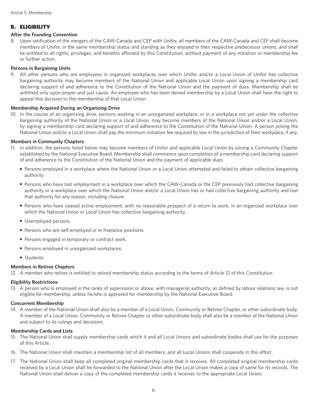# B. ELIGIBILITY

## **After the Founding Convention**

8. Upon ratification of the mergers of the CAW-Canada and CEP with Unifor, all members of the CAW-Canada and CEP shall become members of Unifor, in the same membership status and standing as they enjoyed in their respective predecessor unions, and shall be entitled to all rights, privileges, and benefits afforded by this Constitution, without payment of any initiation or membership fee or further action.

## **Persons in Bargaining Units**

9. All other persons who are employees in organized workplaces over which Unifor and/or a Local Union of Unifor has collective bargaining authority may become members of the National Union and applicable Local Union upon signing a membership card declaring support of and adherence to the Constitution of the National Union and the payment of dues. Membership shall be withheld only upon proper and just cause. An employee who has been denied membership by a Local Union shall have the right to appeal this decision to the membership of that Local Union.

## **Membership Acquired During an Organizing Drive**

10. In the course of an organizing drive, persons working in an unorganized workplace, or in a workplace not yet under the collective bargaining authority of the National Union or a Local Union, may become members of the National Union and/or a Local Union, by signing a membership card declaring support of and adherence to the Constitution of the National Union. A person joining the National Union and/or a Local Union shall pay the minimum initiation fee required by law in the jurisdiction of their workplace, if any.

## **Members in Community Chapters**

- 11. In addition, the persons listed below may become members of Unifor and applicable Local Union by joining a Community Chapter established by the National Executive Board. Membership shall commence upon completion of a membership card declaring support of and adherence to the Constitution of the National Union and the payment of applicable dues.
	- Persons employed in a workplace where the National Union or a Local Union attempted and failed to obtain collective bargaining authority.
	- Persons who have lost employment in a workplace over which the CAW-Canada or the CEP previously had collective bargaining authority or a workplace over which the National Union and/or a Local Union has or had collective bargaining authority and lost that authority for any reason, including closure.
	- Persons who have ceased active employment, with no reasonable prospect of a return to work, in an organized workplace over which the National Union or Local Union has collective bargaining authority.
	- Unemployed persons.
	- Persons who are self-employed or in freelance positions.
	- Persons engaged in temporary or contract work.
	- Persons employed in unorganized workplaces.
	- Students.

## **Members in Retiree Chapters**

12. A member who retires is entitled to retired membership status according to the terms of Article 12 of this Constitution.

## **Eligibility Restrictions**

13. A person who is employed in the ranks of supervision or above, with managerial authority, as defined by labour relations law, is not eligible for membership, unless he/she is approved for membership by the National Executive Board.

## **Concurrent Membership**

14. A member of the National Union shall also be a member of a Local Union, Community or Retiree Chapter, or other subordinate body. A member of a Local Union, Community or Retiree Chapter or other subordinate body shall also be a member of the National Union and subject to its rulings and decisions.

## **Membership Cards and Lists**

- 15. The National Union shall supply membership cards which it and all Local Unions and subordinate bodies shall use for the purposes of this Article.
- 16. The National Union shall maintain a membership list of all members, and all Local Unions shall cooperate in this effort.
- 17. The National Union shall keep all completed original membership cards that it receives. All completed original membership cards received by a Local Union shall be forwarded to the National Union after the Local Union makes a copy of same for its records. The National Union shall deliver a copy of the completed membership cards it receives to the appropriate Local Union.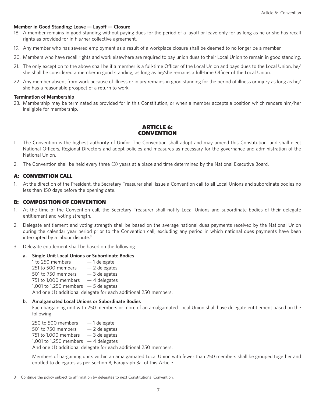#### **Member in Good Standing: Leave — Layoff — Closure**

- 18. A member remains in good standing without paying dues for the period of a layoff or leave only for as long as he or she has recall rights as provided for in his/her collective agreement.
- 19. Any member who has severed employment as a result of a workplace closure shall be deemed to no longer be a member.
- 20. Members who have recall rights and work elsewhere are required to pay union dues to their Local Union to remain in good standing.
- 21. The only exception to the above shall be if a member is a full-time Officer of the Local Union and pays dues to the Local Union, he/ she shall be considered a member in good standing, as long as he/she remains a full-time Officer of the Local Union.
- 22. Any member absent from work because of illness or injury remains in good standing for the period of illness or injury as long as he/ she has a reasonable prospect of a return to work.

#### **Termination of Membership**

23. Membership may be terminated as provided for in this Constitution, or when a member accepts a position which renders him/her ineligible for membership.

# ARTICLE 6: CONVENTION

- 1. The Convention is the highest authority of Unifor. The Convention shall adopt and may amend this Constitution, and shall elect National Officers, Regional Directors and adopt policies and measures as necessary for the governance and administration of the National Union.
- 2. The Convention shall be held every three (3) years at a place and time determined by the National Executive Board.

## A: CONVENTION CALL

1. At the direction of the President, the Secretary Treasurer shall issue a Convention call to all Local Unions and subordinate bodies no less than 150 days before the opening date.

## B: COMPOSITION OF CONVENTION

- 1. At the time of the Convention call, the Secretary Treasurer shall notify Local Unions and subordinate bodies of their delegate entitlement and voting strength.
- 2. Delegate entitlement and voting strength shall be based on the average national dues payments received by the National Union during the calendar year period prior to the Convention call, excluding any period in which national dues payments have been interrupted by a labour dispute.<sup>3</sup>
- 3. Delegate entitlement shall be based on the following:

## **a. Single Unit Local Unions or Subordinate Bodies**

1 to 250 members  $-1$  delegate 251 to 500 members  $-2$  delegates 501 to 750 members  $-3$  delegates 751 to 1,000 members  $-4$  delegates 1,001 to 1,250 members  $-5$  delegates And one (1) additional delegate for each additional 250 members.

#### **b. Amalgamated Local Unions or Subordinate Bodies**

 Each bargaining unit with 250 members or more of an amalgamated Local Union shall have delegate entitlement based on the following:

250 to 500 members  $-1$  delegate 501 to 750 members  $-2$  delegates 751 to 1,000 members  $-3$  delegates 1,001 to 1,250 members  $-4$  delegates And one (1) additional delegate for each additional 250 members.

 Members of bargaining units within an amalgamated Local Union with fewer than 250 members shall be grouped together and entitled to delegates as per Section B, Paragraph 3a. of this Article.

<sup>3</sup> Continue the policy subject to affirmation by delegates to next Constitutional Convention.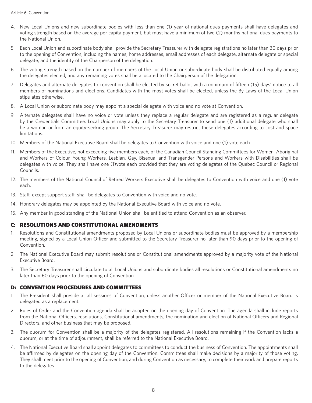- 4. New Local Unions and new subordinate bodies with less than one (1) year of national dues payments shall have delegates and voting strength based on the average per capita payment, but must have a minimum of two (2) months national dues payments to the National Union.
- 5. Each Local Union and subordinate body shall provide the Secretary Treasurer with delegate registrations no later than 30 days prior to the opening of Convention, including the names, home addresses, email addresses of each delegate, alternate delegate or special delegate, and the identity of the Chairperson of the delegation.
- 6. The voting strength based on the number of members of the Local Union or subordinate body shall be distributed equally among the delegates elected, and any remaining votes shall be allocated to the Chairperson of the delegation.
- 7. Delegates and alternate delegates to convention shall be elected by secret ballot with a minimum of fifteen (15) days' notice to all members of nominations and elections. Candidates with the most votes shall be elected, unless the By-Laws of the Local Union stipulates otherwise.
- 8. A Local Union or subordinate body may appoint a special delegate with voice and no vote at Convention.
- 9. Alternate delegates shall have no voice or vote unless they replace a regular delegate and are registered as a regular delegate by the Credentials Committee. Local Unions may apply to the Secretary Treasurer to send one (1) additional delegate who shall be a woman or from an equity-seeking group. The Secretary Treasurer may restrict these delegates according to cost and space limitations.
- 10. Members of the National Executive Board shall be delegates to Convention with voice and one (1) vote each.
- 11. Members of the Executive, not exceeding five members each, of the Canadian Council Standing Committees for Women, Aboriginal and Workers of Colour, Young Workers, Lesbian, Gay, Bisexual and Transgender Persons and Workers with Disabilities shall be delegates with voice. They shall have one (1)vote each provided that they are voting delegates of the Quebec Council or Regional Councils.
- 12. The members of the National Council of Retired Workers Executive shall be delegates to Convention with voice and one (1) vote each.
- 13. Staff, except support staff, shall be delegates to Convention with voice and no vote.
- 14. Honorary delegates may be appointed by the National Executive Board with voice and no vote.
- 15. Any member in good standing of the National Union shall be entitled to attend Convention as an observer.

## C: RESOLUTIONS AND CONSTITUTIONAL AMENDMENTS

- 1. Resolutions and Constitutional amendments proposed by Local Unions or subordinate bodies must be approved by a membership meeting, signed by a Local Union Officer and submitted to the Secretary Treasurer no later than 90 days prior to the opening of Convention.
- 2. The National Executive Board may submit resolutions or Constitutional amendments approved by a majority vote of the National Executive Board.
- 3. The Secretary Treasurer shall circulate to all Local Unions and subordinate bodies all resolutions or Constitutional amendments no later than 60 days prior to the opening of Convention.

## D: CONVENTION PROCEDURES AND COMMITTEES

- 1. The President shall preside at all sessions of Convention, unless another Officer or member of the National Executive Board is delegated as a replacement.
- 2. Rules of Order and the Convention agenda shall be adopted on the opening day of Convention. The agenda shall include reports from the National Officers, resolutions, Constitutional amendments, the nomination and election of National Officers and Regional Directors, and other business that may be proposed.
- 3. The quorum for Convention shall be a majority of the delegates registered. All resolutions remaining if the Convention lacks a quorum, or at the time of adjournment, shall be referred to the National Executive Board.
- 4. The National Executive Board shall appoint delegates to committees to conduct the business of Convention. The appointments shall be affirmed by delegates on the opening day of the Convention. Committees shall make decisions by a majority of those voting. They shall meet prior to the opening of Convention, and during Convention as necessary, to complete their work and prepare reports to the delegates.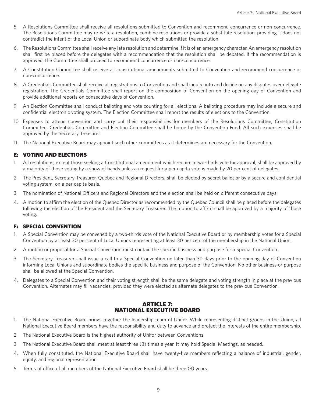- 5. A Resolutions Committee shall receive all resolutions submitted to Convention and recommend concurrence or non-concurrence. The Resolutions Committee may re-write a resolution, combine resolutions or provide a substitute resolution, providing it does not contradict the intent of the Local Union or subordinate body which submitted the resolution.
- 6. The Resolutions Committee shall receive any late resolution and determine if it is of an emergency character. An emergency resolution shall first be placed before the delegates with a recommendation that the resolution shall be debated. If the recommendation is approved, the Committee shall proceed to recommend concurrence or non-concurrence.
- 7. A Constitution Committee shall receive all constitutional amendments submitted to Convention and recommend concurrence or non-concurrence.
- 8. A Credentials Committee shall receive all registrations to Convention and shall inquire into and decide on any disputes over delegate registration. The Credentials Committee shall report on the composition of Convention on the opening day of Convention and provide additional reports on consecutive days of Convention.
- 9. An Election Committee shall conduct balloting and vote counting for all elections. A balloting procedure may include a secure and confidential electronic voting system. The Election Committee shall report the results of elections to the Convention.
- 10. Expenses to attend convention and carry out their responsibilities for members of the Resolutions Committee, Constitution Committee, Credentials Committee and Election Committee shall be borne by the Convention Fund. All such expenses shall be approved by the Secretary Treasurer.
- 11. The National Executive Board may appoint such other committees as it determines are necessary for the Convention.

## E: VOTING AND ELECTIONS

- 1. All resolutions, except those seeking a Constitutional amendment which require a two-thirds vote for approval, shall be approved by a majority of those voting by a show of hands unless a request for a per capita vote is made by 20 per cent of delegates.
- 2. The President, Secretary Treasurer, Quebec and Regional Directors, shall be elected by secret ballot or by a secure and confidential voting system, on a per capita basis.
- 3. The nomination of National Officers and Regional Directors and the election shall be held on different consecutive days.
- 4. A motion to affirm the election of the Quebec Director as recommended by the Quebec Council shall be placed before the delegates following the election of the President and the Secretary Treasurer. The motion to affirm shall be approved by a majority of those voting.

## F: SPECIAL CONVENTION

- 1. A Special Convention may be convened by a two-thirds vote of the National Executive Board or by membership votes for a Special Convention by at least 30 per cent of Local Unions representing at least 30 per cent of the membership in the National Union.
- 2. A motion or proposal for a Special Convention must contain the specific business and purpose for a Special Convention.
- 3. The Secretary Treasurer shall issue a call to a Special Convention no later than 30 days prior to the opening day of Convention informing Local Unions and subordinate bodies the specific business and purpose of the Convention. No other business or purpose shall be allowed at the Special Convention.
- 4. Delegates to a Special Convention and their voting strength shall be the same delegate and voting strength in place at the previous Convention. Alternates may fill vacancies, provided they were elected as alternate delegates to the previous Convention.

# ARTICLE 7: NATIONAL EXECUTIVE BOARD

- 1. The National Executive Board brings together the leadership team of Unifor. While representing distinct groups in the Union, all National Executive Board members have the responsibility and duty to advance and protect the interests of the entire membership.
- 2. The National Executive Board is the highest authority of Unifor between Conventions.
- 3. The National Executive Board shall meet at least three (3) times a year. It may hold Special Meetings, as needed.
- 4. When fully constituted, the National Executive Board shall have twenty-five members reflecting a balance of industrial, gender, equity, and regional representation.
- 5. Terms of office of all members of the National Executive Board shall be three (3) years.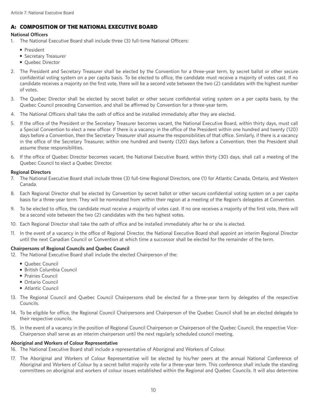# A: COMPOSITION OF THE NATIONAL EXECUTIVE BOARD

# **National Officers**

- 1. The National Executive Board shall include three (3) full-time National Officers:
	- President
	- Secretary Treasurer
	- Quebec Director
- 2. The President and Secretary Treasurer shall be elected by the Convention for a three-year term, by secret ballot or other secure confidential voting system on a per capita basis. To be elected to office, the candidate must receive a majority of votes cast. If no candidate receives a majority on the first vote, there will be a second vote between the two (2) candidates with the highest number of votes.
- 3. The Quebec Director shall be elected by secret ballot or other secure confidential voting system on a per capita basis, by the Quebec Council preceding Convention, and shall be affirmed by Convention for a three-year term.
- 4. The National Officers shall take the oath of office and be installed immediately after they are elected.
- 5. If the office of the President or the Secretary Treasurer becomes vacant, the National Executive Board, within thirty days, must call a Special Convention to elect a new officer. If there is a vacancy in the office of the President within one hundred and twenty (120) days before a Convention, then the Secretary Treasurer shall assume the responsibilities of that office. Similarly, if there is a vacancy in the office of the Secretary Treasurer, within one hundred and twenty (120) days before a Convention, then the President shall assume those responsibilities.
- 6. If the office of Quebec Director becomes vacant, the National Executive Board, within thirty (30) days, shall call a meeting of the Quebec Council to elect a Quebec Director.

## **Regional Directors**

- 7. The National Executive Board shall include three (3) full-time Regional Directors, one (1) for Atlantic Canada, Ontario, and Western Canada.
- 8. Each Regional Director shall be elected by Convention by secret ballot or other secure confidential voting system on a per capita basis for a three-year term. They will be nominated from within their region at a meeting of the Region's delegates at Convention.
- 9. To be elected to office, the candidate must receive a majority of votes cast. If no one receives a majority of the first vote, there will be a second vote between the two (2) candidates with the two highest votes.
- 10. Each Regional Director shall take the oath of office and be installed immediately after he or she is elected.
- 11. In the event of a vacancy in the office of Regional Director, the National Executive Board shall appoint an interim Regional Director until the next Canadian Council or Convention at which time a successor shall be elected for the remainder of the term.

## **Chairpersons of Regional Councils and Quebec Council**

- 12. The National Executive Board shall include the elected Chairperson of the:
	- Quebec Council
	- British Columbia Council
	- Prairies Council
	- Ontario Council
	- Atlantic Council
- 13. The Regional Council and Quebec Council Chairpersons shall be elected for a three-year term by delegates of the respective Councils.
- 14. To be eligible for office, the Regional Council Chairpersons and Chairperson of the Quebec Council shall be an elected delegate to their respective councils.
- 15. In the event of a vacancy in the position of Regional Council Chairperson or Chairperson of the Quebec Council, the respective Vice-Chairperson shall serve as an interim chairperson until the next regularly scheduled council meeting.

## **Aboriginal and Workers of Colour Representative**

- 16. The National Executive Board shall include a representative of Aboriginal and Workers of Colour.
- 17. The Aboriginal and Workers of Colour Representative will be elected by his/her peers at the annual National Conference of Aboriginal and Workers of Colour by a secret ballot majority vote for a three-year term. This conference shall include the standing committees on aboriginal and workers of colour issues established within the Regional and Quebec Councils. It will also determine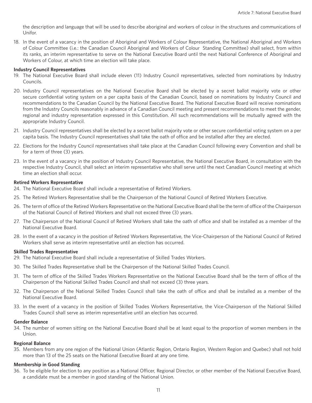the description and language that will be used to describe aboriginal and workers of colour in the structures and communications of Unifor.

18. In the event of a vacancy in the position of Aboriginal and Workers of Colour Representative, the National Aboriginal and Workers of Colour Committee (i.e.: the Canadian Council Aboriginal and Workers of Colour Standing Committee) shall select, from within its ranks, an interim representative to serve on the National Executive Board until the next National Conference of Aboriginal and Workers of Colour, at which time an election will take place.

#### **Industry Council Representatives**

- 19. The National Executive Board shall include eleven (11) Industry Council representatives, selected from nominations by Industry Councils.
- 20. Industry Council representatives on the National Executive Board shall be elected by a secret ballot majority vote or other secure confidential voting system on a per capita basis of the Canadian Council, based on nominations by Industry Council and recommendations to the Canadian Council by the National Executive Board. The National Executive Board will receive nominations from the Industry Councils reasonably in advance of a Canadian Council meeting and present recommendations to meet the gender, regional and industry representation expressed in this Constitution. All such recommendations will be mutually agreed with the appropriate Industry Council.
- 21. Industry Council representatives shall be elected by a secret ballot majority vote or other secure confidential voting system on a per capita basis. The Industry Council representatives shall take the oath of office and be installed after they are elected.
- 22. Elections for the Industry Council representatives shall take place at the Canadian Council following every Convention and shall be for a term of three (3) years.
- 23. In the event of a vacancy in the position of Industry Council Representative, the National Executive Board, in consultation with the respective Industry Council, shall select an interim representative who shall serve until the next Canadian Council meeting at which time an election shall occur.

#### **Retired Workers Representative**

- 24. The National Executive Board shall include a representative of Retired Workers.
- 25. The Retired Workers Representative shall be the Chairperson of the National Council of Retired Workers Executive.
- 26. The term of office of the Retired Workers Representative on the National Executive Board shall be the term of office of the Chairperson of the National Council of Retired Workers and shall not exceed three (3) years.
- 27. The Chairperson of the National Council of Retired Workers shall take the oath of office and shall be installed as a member of the National Executive Board.
- 28. In the event of a vacancy in the position of Retired Workers Representative, the Vice-Chairperson of the National Council of Retired Workers shall serve as interim representative until an election has occurred.

#### **Skilled Trades Representative**

- 29. The National Executive Board shall include a representative of Skilled Trades Workers.
- 30. The Skilled Trades Representative shall be the Chairperson of the National Skilled Trades Council.
- 31. The term of office of the Skilled Trades Workers Representative on the National Executive Board shall be the term of office of the Chairperson of the National Skilled Trades Council and shall not exceed (3) three years.
- 32. The Chairperson of the National Skilled Trades Council shall take the oath of office and shall be installed as a member of the National Executive Board.
- 33. In the event of a vacancy in the position of Skilled Trades Workers Representative, the Vice-Chairperson of the National Skilled Trades Council shall serve as interim representative until an election has occurred.

#### **Gender Balance**

34. The number of women sitting on the National Executive Board shall be at least equal to the proportion of women members in the Union.

#### **Regional Balance**

35. Members from any one region of the National Union (Atlantic Region, Ontario Region, Western Region and Quebec) shall not hold more than 13 of the 25 seats on the National Executive Board at any one time.

## **Membership in Good Standing**

36. To be eligible for election to any position as a National Officer, Regional Director, or other member of the National Executive Board, a candidate must be a member in good standing of the National Union.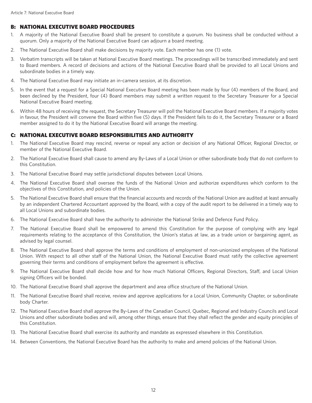# B: NATIONAL EXECUTIVE BOARD PROCEDURES

- 1. A majority of the National Executive Board shall be present to constitute a quorum. No business shall be conducted without a quorum. Only a majority of the National Executive Board can adjourn a board meeting.
- 2. The National Executive Board shall make decisions by majority vote. Each member has one (1) vote.
- 3. Verbatim transcripts will be taken at National Executive Board meetings. The proceedings will be transcribed immediately and sent to Board members. A record of decisions and actions of the National Executive Board shall be provided to all Local Unions and subordinate bodies in a timely way.
- 4. The National Executive Board may initiate an in-camera session, at its discretion.
- 5. In the event that a request for a Special National Executive Board meeting has been made by four (4) members of the Board, and been declined by the President, four (4) Board members may submit a written request to the Secretary Treasurer for a Special National Executive Board meeting.
- 6. Within 48 hours of receiving the request, the Secretary Treasurer will poll the National Executive Board members. If a majority votes in favour, the President will convene the Board within five (5) days. If the President fails to do it, the Secretary Treasurer or a Board member assigned to do it by the National Executive Board will arrange the meeting.

# C: NATIONAL EXECUTIVE BOARD RESPONSIBILITIES AND AUTHORITY

- 1. The National Executive Board may rescind, reverse or repeal any action or decision of any National Officer, Regional Director, or member of the National Executive Board.
- 2. The National Executive Board shall cause to amend any By-Laws of a Local Union or other subordinate body that do not conform to this Constitution.
- 3. The National Executive Board may settle jurisdictional disputes between Local Unions.
- 4. The National Executive Board shall oversee the funds of the National Union and authorize expenditures which conform to the objectives of this Constitution, and policies of the Union.
- 5. The National Executive Board shall ensure that the financial accounts and records of the National Union are audited at least annually by an independent Chartered Accountant approved by the Board, with a copy of the audit report to be delivered in a timely way to all Local Unions and subordinate bodies.
- 6. The National Executive Board shall have the authority to administer the National Strike and Defence Fund Policy.
- 7. The National Executive Board shall be empowered to amend this Constitution for the purpose of complying with any legal requirements relating to the acceptance of this Constitution, the Union's status at law, as a trade union or bargaining agent, as advised by legal counsel.
- 8. The National Executive Board shall approve the terms and conditions of employment of non-unionized employees of the National Union. With respect to all other staff of the National Union, the National Executive Board must ratify the collective agreement governing their terms and conditions of employment before the agreement is effective.
- 9. The National Executive Board shall decide how and for how much National Officers, Regional Directors, Staff, and Local Union signing Officers will be bonded.
- 10. The National Executive Board shall approve the department and area office structure of the National Union.
- 11. The National Executive Board shall receive, review and approve applications for a Local Union, Community Chapter, or subordinate body Charter.
- 12. The National Executive Board shall approve the By-Laws of the Canadian Council, Quebec, Regional and Industry Councils and Local Unions and other subordinate bodies and will, among other things, ensure that they shall reflect the gender and equity principles of this Constitution.
- 13. The National Executive Board shall exercise its authority and mandate as expressed elsewhere in this Constitution.
- 14. Between Conventions, the National Executive Board has the authority to make and amend policies of the National Union.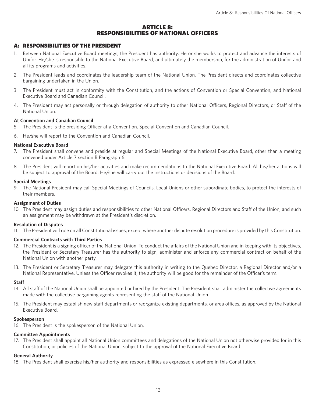## ARTICLE 8: RESPONSIBILITIES OF NATIONAL OFFICERS

## A: RESPONSIBILITIES OF THE PRESIDENT

- 1. Between National Executive Board meetings, the President has authority. He or she works to protect and advance the interests of Unifor. He/she is responsible to the National Executive Board, and ultimately the membership, for the administration of Unifor, and all its programs and activities.
- 2. The President leads and coordinates the leadership team of the National Union. The President directs and coordinates collective bargaining undertaken in the Union.
- 3. The President must act in conformity with the Constitution, and the actions of Convention or Special Convention, and National Executive Board and Canadian Council.
- 4. The President may act personally or through delegation of authority to other National Officers, Regional Directors, or Staff of the National Union.

## **At Convention and Canadian Council**

- 5. The President is the presiding Officer at a Convention, Special Convention and Canadian Council.
- 6. He/she will report to the Convention and Canadian Council.

## **National Executive Board**

- 7. The President shall convene and preside at regular and Special Meetings of the National Executive Board, other than a meeting convened under Article 7 section B Paragraph 6.
- 8. The President will report on his/her activities and make recommendations to the National Executive Board. All his/her actions will be subject to approval of the Board. He/she will carry out the instructions or decisions of the Board.

## **Special Meetings**

9. The National President may call Special Meetings of Councils, Local Unions or other subordinate bodies, to protect the interests of their members.

## **Assignment of Duties**

10. The President may assign duties and responsibilities to other National Officers, Regional Directors and Staff of the Union, and such an assignment may be withdrawn at the President's discretion.

## **Resolution of Disputes**

11. The President will rule on all Constitutional issues, except where another dispute resolution procedure is provided by this Constitution.

## **Commercial Contracts with Third Parties**

- 12. The President is a signing officer of the National Union. To conduct the affairs of the National Union and in keeping with its objectives, the President or Secretary Treasurer has the authority to sign, administer and enforce any commercial contract on behalf of the National Union with another party.
- 13. The President or Secretary Treasurer may delegate this authority in writing to the Quebec Director, a Regional Director and/or a National Representative. Unless the Officer revokes it, the authority will be good for the remainder of the Officer's term.

## **Staff**

- 14. All staff of the National Union shall be appointed or hired by the President. The President shall administer the collective agreements made with the collective bargaining agents representing the staff of the National Union.
- 15. The President may establish new staff departments or reorganize existing departments, or area offices, as approved by the National Executive Board.

## **Spokesperson**

16. The President is the spokesperson of the National Union.

## **Committee Appointments**

17. The President shall appoint all National Union committees and delegations of the National Union not otherwise provided for in this Constitution, or policies of the National Union, subject to the approval of the National Executive Board.

## **General Authority**

18. The President shall exercise his/her authority and responsibilities as expressed elsewhere in this Constitution.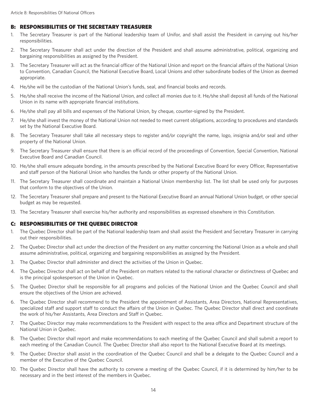## B: RESPONSIBILITIES OF THE SECRETARY TREASURER

- 1. The Secretary Treasurer is part of the National leadership team of Unifor, and shall assist the President in carrying out his/her responsibilities.
- 2. The Secretary Treasurer shall act under the direction of the President and shall assume administrative, political, organizing and bargaining responsibilities as assigned by the President.
- 3. The Secretary Treasurer will act as the financial officer of the National Union and report on the financial affairs of the National Union to Convention, Canadian Council, the National Executive Board, Local Unions and other subordinate bodies of the Union as deemed appropriate.
- 4. He/she will be the custodian of the National Union's funds, seal, and financial books and records.
- 5. He/she shall receive the income of the National Union, and collect all monies due to it. He/she shall deposit all funds of the National Union in its name with appropriate financial institutions.
- 6. He/she shall pay all bills and expenses of the National Union, by cheque, counter-signed by the President.
- 7. He/she shall invest the money of the National Union not needed to meet current obligations, according to procedures and standards set by the National Executive Board.
- 8. The Secretary Treasurer shall take all necessary steps to register and/or copyright the name, logo, insignia and/or seal and other property of the National Union.
- 9. The Secretary Treasurer shall ensure that there is an official record of the proceedings of Convention, Special Convention, National Executive Board and Canadian Council.
- 10. He/she shall ensure adequate bonding, in the amounts prescribed by the National Executive Board for every Officer, Representative and staff person of the National Union who handles the funds or other property of the National Union.
- 11. The Secretary Treasurer shall coordinate and maintain a National Union membership list. The list shall be used only for purposes that conform to the objectives of the Union.
- 12. The Secretary Treasurer shall prepare and present to the National Executive Board an annual National Union budget, or other special budget as may be requested.
- 13. The Secretary Treasurer shall exercise his/her authority and responsibilities as expressed elsewhere in this Constitution.

# C: RESPONSIBILITIES OF THE QUEBEC DIRECTOR

- 1. The Quebec Director shall be part of the National leadership team and shall assist the President and Secretary Treasurer in carrying out their responsibilities.
- 2. The Quebec Director shall act under the direction of the President on any matter concerning the National Union as a whole and shall assume administrative, political, organizing and bargaining responsibilities as assigned by the President.
- 3. The Quebec Director shall administer and direct the activities of the Union in Quebec.
- 4. The Quebec Director shall act on behalf of the President on matters related to the national character or distinctness of Quebec and is the principal spokesperson of the Union in Quebec.
- 5. The Quebec Director shall be responsible for all programs and policies of the National Union and the Quebec Council and shall ensure the objectives of the Union are achieved.
- 6. The Quebec Director shall recommend to the President the appointment of Assistants, Area Directors, National Representatives, specialized staff and support staff to conduct the affairs of the Union in Quebec. The Quebec Director shall direct and coordinate the work of his/her Assistants, Area Directors and Staff in Quebec.
- 7. The Quebec Director may make recommendations to the President with respect to the area office and Department structure of the National Union in Quebec.
- 8. The Quebec Director shall report and make recommendations to each meeting of the Quebec Council and shall submit a report to each meeting of the Canadian Council. The Quebec Director shall also report to the National Executive Board at its meetings.
- 9. The Quebec Director shall assist in the coordination of the Quebec Council and shall be a delegate to the Quebec Council and a member of the Executive of the Quebec Council.
- 10. The Quebec Director shall have the authority to convene a meeting of the Quebec Council, if it is determined by him/her to be necessary and in the best interest of the members in Quebec.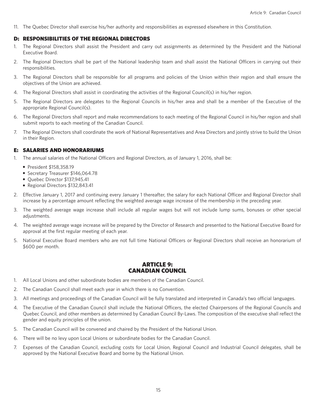11. The Quebec Director shall exercise his/her authority and responsibilities as expressed elsewhere in this Constitution.

## D: RESPONSIBILITIES OF THE REGIONAL DIRECTORS

- 1. The Regional Directors shall assist the President and carry out assignments as determined by the President and the National Executive Board.
- 2. The Regional Directors shall be part of the National leadership team and shall assist the National Officers in carrying out their responsibilities.
- 3. The Regional Directors shall be responsible for all programs and policies of the Union within their region and shall ensure the objectives of the Union are achieved.
- 4. The Regional Directors shall assist in coordinating the activities of the Regional Council(s) in his/her region.
- 5. The Regional Directors are delegates to the Regional Councils in his/her area and shall be a member of the Executive of the appropriate Regional Council(s).
- 6. The Regional Directors shall report and make recommendations to each meeting of the Regional Council in his/her region and shall submit reports to each meeting of the Canadian Council.
- 7. The Regional Directors shall coordinate the work of National Representatives and Area Directors and jointly strive to build the Union in their Region.

## E: SALARIES AND HONORARIUMS

- 1. The annual salaries of the National Officers and Regional Directors, as of January 1, 2016, shall be:
	- President \$158,358.19
	- Secretary Treasurer \$146,064.78
	- Quebec Director \$137,945.41
	- Regional Directors \$132,843.41
- 2. Effective January 1, 2017 and continuing every January 1 thereafter, the salary for each National Officer and Regional Director shall increase by a percentage amount reflecting the weighted average wage increase of the membership in the preceding year.
- 3. The weighted average wage increase shall include all regular wages but will not include lump sums, bonuses or other special adjustments.
- 4. The weighted average wage increase will be prepared by the Director of Research and presented to the National Executive Board for approval at the first regular meeting of each year.
- 5. National Executive Board members who are not full time National Officers or Regional Directors shall receive an honorarium of \$600 per month.

## ARTICLE 9: CANADIAN COUNCIL

- 1. All Local Unions and other subordinate bodies are members of the Canadian Council.
- 2. The Canadian Council shall meet each year in which there is no Convention.
- 3. All meetings and proceedings of the Canadian Council will be fully translated and interpreted in Canada's two official languages.
- 4. The Executive of the Canadian Council shall include the National Officers, the elected Chairpersons of the Regional Councils and Quebec Council, and other members as determined by Canadian Council By-Laws. The composition of the executive shall reflect the gender and equity principles of the union.
- 5. The Canadian Council will be convened and chaired by the President of the National Union.
- 6. There will be no levy upon Local Unions or subordinate bodies for the Canadian Council.
- 7. Expenses of the Canadian Council, excluding costs for Local Union, Regional Council and Industrial Council delegates, shall be approved by the National Executive Board and borne by the National Union.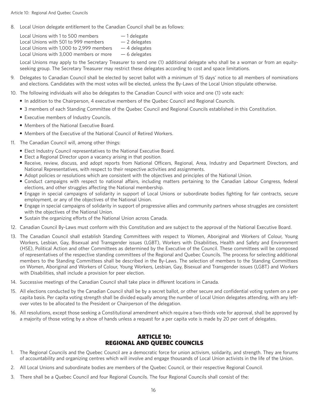8. Local Union delegate entitlement to the Canadian Council shall be as follows:

| Local Unions with 1 to 500 members       | $-1$ delegate  |
|------------------------------------------|----------------|
| Local Unions with 501 to 999 members     | $-2$ delegates |
| Local Unions with 1,000 to 2,999 members | $-4$ delegates |
| Local Unions with 3,000 members or more  | $-6$ delegates |

 Local Unions may apply to the Secretary Treasurer to send one (1) additional delegate who shall be a woman or from an equityseeking group. The Secretary Treasurer may restrict these delegates according to cost and space limitations.

- 9. Delegates to Canadian Council shall be elected by secret ballot with a minimum of 15 days' notice to all members of nominations and elections. Candidates with the most votes will be elected, unless the By-Laws of the Local Union stipulate otherwise.
- 10. The following individuals will also be delegates to the Canadian Council with voice and one (1) vote each:
	- In addition to the Chairperson, 4 executive members of the Quebec Council and Regional Councils.
	- 3 members of each Standing Committee of the Quebec Council and Regional Councils established in this Constitution.
	- Executive members of Industry Councils.
	- Members of the National Executive Board.
	- Members of the Executive of the National Council of Retired Workers.
- 11. The Canadian Council will, among other things:
	- Elect Industry Council representatives to the National Executive Board.
	- Elect a Regional Director upon a vacancy arising in that position.
	- Receive, review, discuss, and adopt reports from National Officers, Regional, Area, Industry and Department Directors, and National Representatives, with respect to their respective activities and assignments.
	- Adopt policies or resolutions which are consistent with the objectives and principles of the National Union.
	- Conduct campaigns with respect to national affairs, including matters pertaining to the Canadian Labour Congress, federal elections, and other struggles affecting the National membership.
	- Engage in special campaigns of solidarity in support of Local Unions or subordinate bodies fighting for fair contracts, secure employment, or any of the objectives of the National Union.
	- Engage in special campaigns of solidarity in support of progressive allies and community partners whose struggles are consistent with the objectives of the National Union.
	- Sustain the organizing efforts of the National Union across Canada.
- 12. Canadian Council By-Laws must conform with this Constitution and are subject to the approval of the National Executive Board.
- 13. The Canadian Council shall establish Standing Committees with respect to Women, Aboriginal and Workers of Colour, Young Workers, Lesbian, Gay, Bisexual and Transgender issues (LGBT), Workers with Disabilities, Health and Safety and Environment (HSE), Political Action and other Committees as determined by the Executive of the Council. These committees will be composed of representatives of the respective standing committees of the Regional and Quebec Councils. The process for selecting additional members to the Standing Committees shall be described in the By-Laws. The selection of members to the Standing Committees on Women, Aboriginal and Workers of Colour, Young Workers, Lesbian, Gay, Bisexual and Transgender issues (LGBT) and Workers with Disabilities, shall include a provision for peer election.
- 14. Successive meetings of the Canadian Council shall take place in different locations in Canada.
- 15. All elections conducted by the Canadian Council shall be by a secret ballot, or other secure and confidential voting system on a per capita basis. Per capita voting strength shall be divided equally among the number of Local Union delegates attending, with any leftover votes to be allocated to the President or Chairperson of the delegation.
- 16. All resolutions, except those seeking a Constitutional amendment which require a two-thirds vote for approval, shall be approved by a majority of those voting by a show of hands unless a request for a per capita vote is made by 20 per cent of delegates.

# ARTICLE 10: REGIONAL AND QUEBEC COUNCILS

- 1. The Regional Councils and the Quebec Council are a democratic force for union activism, solidarity, and strength. They are forums of accountability and organizing centres which will involve and engage thousands of Local Union activists in the life of the Union.
- 2. All Local Unions and subordinate bodies are members of the Quebec Council, or their respective Regional Council.
- 3. There shall be a Quebec Council and four Regional Councils. The four Regional Councils shall consist of the: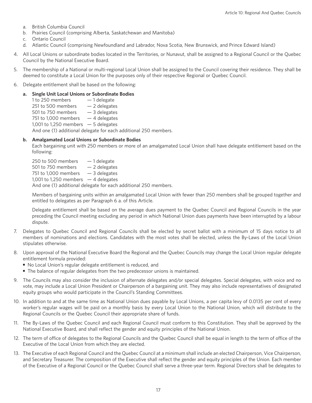- a. British Columbia Council
- b. Prairies Council (comprising Alberta, Saskatchewan and Manitoba)
- c. Ontario Council
- d. Atlantic Council (comprising Newfoundland and Labrador, Nova Scotia, New Brunswick, and Prince Edward Island)
- 4. All Local Unions or subordinate bodies located in the Territories, or Nunavut, shall be assigned to a Regional Council or the Quebec Council by the National Executive Board.
- 5. The membership of a National or multi-regional Local Union shall be assigned to the Council covering their residence. They shall be deemed to constitute a Local Union for the purposes only of their respective Regional or Quebec Council.
- 6. Delegate entitlement shall be based on the following:

## **a. Single Unit Local Unions or Subordinate Bodies**

1 to 250 members  $-1$  delegate 251 to 500 members  $-2$  delegates 501 to 750 members  $-3$  delegates 751 to 1,000 members  $-4$  delegates 1,001 to 1,250 members  $-5$  delegates And one (1) additional delegate for each additional 250 members.

## **b. Amalgamated Local Unions or Subordinate Bodies**

 Each bargaining unit with 250 members or more of an amalgamated Local Union shall have delegate entitlement based on the following:

250 to 500 members  $-1$  delegate 501 to 750 members  $-2$  delegates 751 to 1,000 members  $-3$  delegates 1,001 to 1,250 members  $-4$  delegates And one (1) additional delegate for each additional 250 members.

 Members of bargaining units within an amalgamated Local Union with fewer than 250 members shall be grouped together and entitled to delegates as per Paragraph 6 a. of this Article.

 Delegate entitlement shall be based on the average dues payment to the Quebec Council and Regional Councils in the year preceding the Council meeting excluding any period in which National Union dues payments have been interrupted by a labour dispute.

- 7. Delegates to Quebec Council and Regional Councils shall be elected by secret ballot with a minimum of 15 days notice to all members of nominations and elections. Candidates with the most votes shall be elected, unless the By-Laws of the Local Union stipulates otherwise.
- 8. Upon approval of the National Executive Board the Regional and the Quebec Councils may change the Local Union regular delegate entitlement formula provided:
	- No Local Union's regular delegate entitlement is reduced, and
	- The balance of regular delegates from the two predecessor unions is maintained.
- 9. The Councils may also consider the inclusion of alternate delegates and/or special delegates. Special delegates, with voice and no vote, may include a Local Union President or Chairperson of a bargaining unit. They may also include representatives of designated equity groups who would participate in the Council's Standing Committees.
- 10. In addition to and at the same time as National Union dues payable by Local Unions, a per capita levy of 0.0135 per cent of every worker's regular wages will be paid on a monthly basis by every Local Union to the National Union, which will distribute to the Regional Councils or the Quebec Council their appropriate share of funds.
- 11. The By-Laws of the Quebec Council and each Regional Council must conform to this Constitution. They shall be approved by the National Executive Board, and shall reflect the gender and equity principles of the National Union.
- 12. The term of office of delegates to the Regional Councils and the Quebec Council shall be equal in length to the term of office of the Executive of the Local Union from which they are elected.
- 13. The Executive of each Regional Council and the Quebec Council at a minimum shall include an elected Chairperson, Vice Chairperson, and Secretary Treasurer. The composition of the Executive shall reflect the gender and equity principles of the Union. Each member of the Executive of a Regional Council or the Quebec Council shall serve a three-year term. Regional Directors shall be delegates to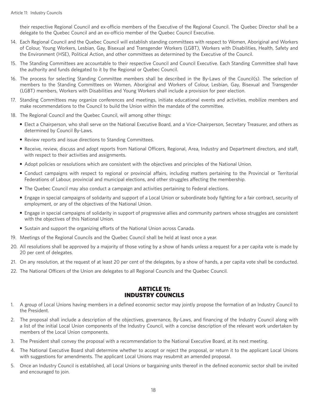their respective Regional Council and ex-officio members of the Executive of the Regional Council. The Quebec Director shall be a delegate to the Quebec Council and an ex-officio member of the Quebec Council Executive.

- 14. Each Regional Council and the Quebec Council will establish standing committees with respect to Women, Aboriginal and Workers of Colour, Young Workers, Lesbian, Gay, Bisexual and Transgender Workers (LGBT), Workers with Disabilities, Health, Safety and the Environment (HSE), Political Action, and other committees as determined by the Executive of the Council.
- 15. The Standing Committees are accountable to their respective Council and Council Executive. Each Standing Committee shall have the authority and funds delegated to it by the Regional or Quebec Council.
- 16. The process for selecting Standing Committee members shall be described in the By-Laws of the Council(s). The selection of members to the Standing Committees on Women, Aboriginal and Workers of Colour, Lesbian, Gay, Bisexual and Transgender (LGBT) members, Workers with Disabilities and Young Workers shall include a provision for peer election.
- 17. Standing Committees may organize conferences and meetings, initiate educational events and activities, mobilize members and make recommendations to the Council to build the Union within the mandate of the committee.
- 18. The Regional Council and the Quebec Council, will among other things:
	- Elect a Chairperson, who shall serve on the National Executive Board, and a Vice-Chairperson, Secretary Treasurer, and others as determined by Council By-Laws.
	- Review reports and issue directions to Standing Committees.
	- Receive, review, discuss and adopt reports from National Officers, Regional, Area, Industry and Department directors, and staff, with respect to their activities and assignments.
	- Adopt policies or resolutions which are consistent with the objectives and principles of the National Union.
	- Conduct campaigns with respect to regional or provincial affairs, including matters pertaining to the Provincial or Territorial Federations of Labour, provincial and municipal elections, and other struggles affecting the membership.
	- The Quebec Council may also conduct a campaign and activities pertaining to Federal elections.
	- Engage in special campaigns of solidarity and support of a Local Union or subordinate body fighting for a fair contract, security of employment, or any of the objectives of the National Union.
	- Engage in special campaigns of solidarity in support of progressive allies and community partners whose struggles are consistent with the objectives of this National Union.
	- Sustain and support the organizing efforts of the National Union across Canada.
- 19. Meetings of the Regional Councils and the Quebec Council shall be held at least once a year.
- 20. All resolutions shall be approved by a majority of those voting by a show of hands unless a request for a per capita vote is made by 20 per cent of delegates.
- 21. On any resolution, at the request of at least 20 per cent of the delegates, by a show of hands, a per capita vote shall be conducted.
- 22. The National Officers of the Union are delegates to all Regional Councils and the Quebec Council.

## ARTICLE 11: INDUSTRY COUNCILS

- 1. A group of Local Unions having members in a defined economic sector may jointly propose the formation of an Industry Council to the President.
- 2. The proposal shall include a description of the objectives, governance, By-Laws, and financing of the Industry Council along with a list of the initial Local Union components of the Industry Council, with a concise description of the relevant work undertaken by members of the Local Union components.
- 3. The President shall convey the proposal with a recommendation to the National Executive Board, at its next meeting.
- 4. The National Executive Board shall determine whether to accept or reject the proposal, or return it to the applicant Local Unions with suggestions for amendments. The applicant Local Unions may resubmit an amended proposal.
- 5. Once an Industry Council is established, all Local Unions or bargaining units thereof in the defined economic sector shall be invited and encouraged to join.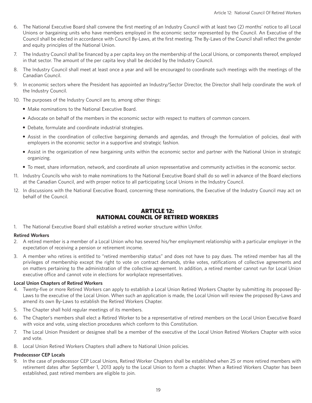- 6. The National Executive Board shall convene the first meeting of an Industry Council with at least two (2) months' notice to all Local Unions or bargaining units who have members employed in the economic sector represented by the Council. An Executive of the Council shall be elected in accordance with Council By-Laws, at the first meeting. The By-Laws of the Council shall reflect the gender and equity principles of the National Union.
- 7. The Industry Council shall be financed by a per capita levy on the membership of the Local Unions, or components thereof, employed in that sector. The amount of the per capita levy shall be decided by the Industry Council.
- 8. The Industry Council shall meet at least once a year and will be encouraged to coordinate such meetings with the meetings of the Canadian Council.
- 9. In economic sectors where the President has appointed an Industry/Sector Director, the Director shall help coordinate the work of the Industry Council.
- 10. The purposes of the Industry Council are to, among other things:
	- Make nominations to the National Executive Board.
	- Advocate on behalf of the members in the economic sector with respect to matters of common concern.
	- Debate, formulate and coordinate industrial strategies.
	- Assist in the coordination of collective bargaining demands and agendas, and through the formulation of policies, deal with employers in the economic sector in a supportive and strategic fashion.
	- Assist in the organization of new bargaining units within the economic sector and partner with the National Union in strategic organizing.
	- To meet, share information, network, and coordinate all union representative and community activities in the economic sector.
- 11. Industry Councils who wish to make nominations to the National Executive Board shall do so well in advance of the Board elections at the Canadian Council, and with proper notice to all participating Local Unions in the Industry Council.
- 12. In discussions with the National Executive Board, concerning these nominations, the Executive of the Industry Council may act on behalf of the Council.

# ARTICLE 12: NATIONAL COUNCIL OF RETIRED WORKERS

1. The National Executive Board shall establish a retired worker structure within Unifor.

#### **Retired Workers**

- 2. A retired member is a member of a Local Union who has severed his/her employment relationship with a particular employer in the expectation of receiving a pension or retirement income.
- 3. A member who retires is entitled to "retired membership status" and does not have to pay dues. The retired member has all the privileges of membership except the right to vote on contract demands, strike votes, ratifications of collective agreements and on matters pertaining to the administration of the collective agreement. In addition, a retired member cannot run for Local Union executive office and cannot vote in elections for workplace representatives.

## **Local Union Chapters of Retired Workers**

- 4. Twenty-five or more Retired Workers can apply to establish a Local Union Retired Workers Chapter by submitting its proposed By-Laws to the executive of the Local Union. When such an application is made, the Local Union will review the proposed By-Laws and amend its own By-Laws to establish the Retired Workers Chapter.
- 5. The Chapter shall hold regular meetings of its members.
- 6. The Chapter's members shall elect a Retired Worker to be a representative of retired members on the Local Union Executive Board with voice and vote, using election procedures which conform to this Constitution.
- 7. The Local Union President or designee shall be a member of the executive of the Local Union Retired Workers Chapter with voice and vote.
- 8. Local Union Retired Workers Chapters shall adhere to National Union policies.

## **Predecessor CEP Locals**

9. In the case of predecessor CEP Local Unions, Retired Worker Chapters shall be established when 25 or more retired members with retirement dates after September 1, 2013 apply to the Local Union to form a chapter. When a Retired Workers Chapter has been established, past retired members are eligible to join.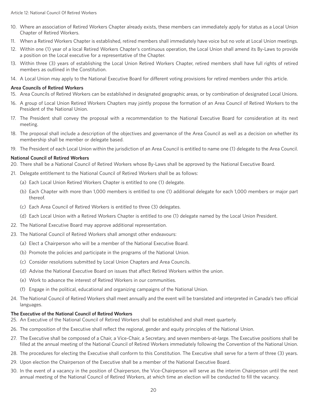- 10. Where an association of Retired Workers Chapter already exists, these members can immediately apply for status as a Local Union Chapter of Retired Workers.
- 11. When a Retired Workers Chapter is established, retired members shall immediately have voice but no vote at Local Union meetings.
- 12. Within one (1) year of a local Retired Workers Chapter's continuous operation, the Local Union shall amend its By-Laws to provide a position on the Local executive for a representative of the Chapter.
- 13. Within three (3) years of establishing the Local Union Retired Workers Chapter, retired members shall have full rights of retired members as outlined in the Constitution.
- 14. A Local Union may apply to the National Executive Board for different voting provisions for retired members under this article.

## **Area Councils of Retired Workers**

- 15. Area Councils of Retired Workers can be established in designated geographic areas, or by combination of designated Local Unions.
- 16. A group of Local Union Retired Workers Chapters may jointly propose the formation of an Area Council of Retired Workers to the President of the National Union.
- 17. The President shall convey the proposal with a recommendation to the National Executive Board for consideration at its next meeting.
- 18. The proposal shall include a description of the objectives and governance of the Area Council as well as a decision on whether its membership shall be member or delegate based.
- 19. The President of each Local Union within the jurisdiction of an Area Council is entitled to name one (1) delegate to the Area Council.

## **National Council of Retired Workers**

- 20. There shall be a National Council of Retired Workers whose By-Laws shall be approved by the National Executive Board.
- 21. Delegate entitlement to the National Council of Retired Workers shall be as follows:
	- (a) Each Local Union Retired Workers Chapter is entitled to one (1) delegate.
	- (b) Each Chapter with more than 1,000 members is entitled to one (1) additional delegate for each 1,000 members or major part thereof.
	- (c) Each Area Council of Retired Workers is entitled to three (3) delegates.
	- (d) Each Local Union with a Retired Workers Chapter is entitled to one (1) delegate named by the Local Union President.
- 22. The National Executive Board may approve additional representation.
- 23. The National Council of Retired Workers shall amongst other endeavours:
	- (a) Elect a Chairperson who will be a member of the National Executive Board.
	- (b) Promote the policies and participate in the programs of the National Union.
	- (c) Consider resolutions submitted by Local Union Chapters and Area Councils.
	- (d) Advise the National Executive Board on issues that affect Retired Workers within the union.
	- (e) Work to advance the interest of Retired Workers in our communities.
	- (f) Engage in the political, educational and organizing campaigns of the National Union.
- 24. The National Council of Retired Workers shall meet annually and the event will be translated and interpreted in Canada's two official languages.

## **The Executive of the National Council of Retired Workers**

- 25. An Executive of the National Council of Retired Workers shall be established and shall meet quarterly.
- 26. The composition of the Executive shall reflect the regional, gender and equity principles of the National Union.
- 27. The Executive shall be composed of a Chair, a Vice-Chair, a Secretary, and seven members-at-large. The Executive positions shall be filled at the annual meeting of the National Council of Retired Workers immediately following the Convention of the National Union.
- 28. The procedures for electing the Executive shall conform to this Constitution. The Executive shall serve for a term of three (3) years.
- 29. Upon election the Chairperson of the Executive shall be a member of the National Executive Board.
- 30. In the event of a vacancy in the position of Chairperson, the Vice-Chairperson will serve as the interim Chairperson until the next annual meeting of the National Council of Retired Workers, at which time an election will be conducted to fill the vacancy.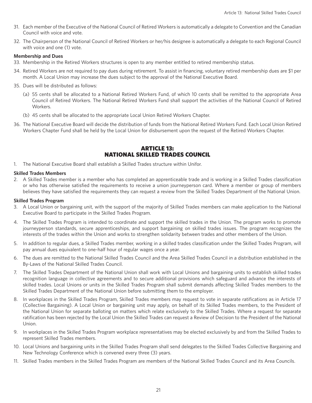- 31. Each member of the Executive of the National Council of Retired Workers is automatically a delegate to Convention and the Canadian Council with voice and vote.
- 32. The Chairperson of the National Council of Retired Workers or her/his designee is automatically a delegate to each Regional Council with voice and one (1) vote.

## **Membership and Dues**

- 33. Membership in the Retired Workers structures is open to any member entitled to retired membership status.
- 34. Retired Workers are not required to pay dues during retirement. To assist in financing, voluntary retired membership dues are \$1 per month. A Local Union may increase the dues subject to the approval of the National Executive Board.
- 35. Dues will be distributed as follows:
	- (a) 55 cents shall be allocated to a National Retired Workers Fund, of which 10 cents shall be remitted to the appropriate Area Council of Retired Workers. The National Retired Workers Fund shall support the activities of the National Council of Retired Workers.
	- (b) 45 cents shall be allocated to the appropriate Local Union Retired Workers Chapter.
- 36. The National Executive Board will decide the distribution of funds from the National Retired Workers Fund. Each Local Union Retired Workers Chapter Fund shall be held by the Local Union for disbursement upon the request of the Retired Workers Chapter.

# ARTICLE 13: NATIONAL SKILLED TRADES COUNCIL

1. The National Executive Board shall establish a Skilled Trades structure within Unifor.

#### **Skilled Trades Members**

2. A Skilled Trades member is a member who has completed an apprenticeable trade and is working in a Skilled Trades classification or who has otherwise satisfied the requirements to receive a union journeyperson card. Where a member or group of members believes they have satisfied the requirements they can request a review from the Skilled Trades Department of the National Union.

#### **Skilled Trades Program**

- 3. A Local Union or bargaining unit, with the support of the majority of Skilled Trades members can make application to the National Executive Board to participate in the Skilled Trades Program.
- 4. The Skilled Trades Program is intended to coordinate and support the skilled trades in the Union. The program works to promote journeyperson standards, secure apprenticeships, and support bargaining on skilled trades issues. The program recognizes the interests of the trades within the Union and works to strengthen solidarity between trades and other members of the Union.
- 5. In addition to regular dues, a Skilled Trades member, working in a skilled trades classification under the Skilled Trades Program, will pay annual dues equivalent to one-half hour of regular wages once a year.
- 6. The dues are remitted to the National Skilled Trades Council and the Area Skilled Trades Council in a distribution established in the By-Laws of the National Skilled Trades Council.
- 7. The Skilled Trades Department of the National Union shall work with Local Unions and bargaining units to establish skilled trades recognition language in collective agreements and to secure additional provisions which safeguard and advance the interests of skilled trades. Local Unions or units in the Skilled Trades Program shall submit demands affecting Skilled Trades members to the Skilled Trades Department of the National Union before submitting them to the employer.
- 8. In workplaces in the Skilled Trades Program, Skilled Trades members may request to vote in separate ratifications as in Article 17 (Collective Bargaining). A Local Union or bargaining unit may apply, on behalf of its Skilled Trades members, to the President of the National Union for separate balloting on matters which relate exclusively to the Skilled Trades. Where a request for separate ratification has been rejected by the Local Union the Skilled Trades can request a Review of Decision to the President of the National Union.
- 9. In workplaces in the Skilled Trades Program workplace representatives may be elected exclusively by and from the Skilled Trades to represent Skilled Trades members.
- 10. Local Unions and bargaining units in the Skilled Trades Program shall send delegates to the Skilled Trades Collective Bargaining and New Technology Conference which is convened every three (3) years.
- 11. Skilled Trades members in the Skilled Trades Program are members of the National Skilled Trades Council and its Area Councils.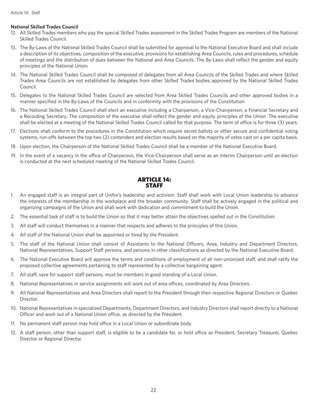## **National Skilled Trades Council**

- 12. All Skilled Trades members who pay the special Skilled Trades assessment in the Skilled Trades Program are members of the National Skilled Trades Council.
- 13. The By-Laws of the National Skilled Trades Council shall be submitted for approval to the National Executive Board and shall include a description of its objectives, composition of the executive, provisions for establishing Area Councils, rules and procedures, schedule of meetings and the distribution of dues between the National and Area Councils. The By-Laws shall reflect the gender and equity principles of the National Union.
- 14. The National Skilled Trades Council shall be composed of delegates from all Area Councils of the Skilled Trades and where Skilled Trades Area Councils are not established by delegates from other Skilled Trades bodies approved by the National Skilled Trades Council.
- 15. Delegates to the National Skilled Trades Council are selected from Area Skilled Trades Councils and other approved bodies in a manner specified in the By-Laws of the Councils and in conformity with the provisions of the Constitution.
- 16. The National Skilled Trades Council shall elect an executive including a Chairperson, a Vice-Chairperson, a Financial Secretary and a Recording Secretary. The composition of the executive shall reflect the gender and equity principles of the Union. The executive shall be elected at a meeting of the National Skilled Trades Council called for that purpose. The term of office is for three (3) years.
- 17. Elections shall conform to the procedures in the Constitution which require secret ballots or other secure and confidential voting systems, run-offs between the top two (2) contenders and election results based on the majority of votes cast on a per capita basis.
- 18. Upon election, the Chairperson of the National Skilled Trades Council shall be a member of the National Executive Board.
- 19. In the event of a vacancy in the office of Chairperson, the Vice-Chairperson shall serve as an interim Chairperson until an election is conducted at the next scheduled meeting of the National Skilled Trades Council.

## ARTICLE 14: **STAFF**

- 1. An engaged staff is an integral part of Unifor's leadership and activism. Staff shall work with Local Union leadership to advance the interests of the membership in the workplace and the broader community. Staff shall be actively engaged in the political and organizing campaigns of the Union and shall work with dedication and commitment to build the Union.
- 2. The essential task of staff is to build the Union so that it may better attain the objectives spelled out in the Constitution.
- 3. All staff will conduct themselves in a manner that respects and adheres to the principles of this Union.
- 4. All staff of the National Union shall be appointed or hired by the President.
- 5. The staff of the National Union shall consist of Assistants to the National Officers, Area, Industry and Department Directors, National Representatives, Support Staff persons, and persons in other classifications as directed by the National Executive Board.
- 6. The National Executive Board will approve the terms and conditions of employment of all non-unionized staff, and shall ratify the proposed collective agreements pertaining to staff represented by a collective bargaining agent.
- 7. All staff, save for support staff persons, must be members in good standing of a Local Union.
- 8. National Representatives in service assignments will work out of area offices, coordinated by Area Directors.
- 9. All National Representatives and Area Directors shall report to the President through their respective Regional Directors or Quebec Director.
- 10. National Representatives in specialized Departments, Department Directors, and Industry Directors shall report directly to a National Officer and work out of a National Union office, as directed by the President.
- 11. No permanent staff person may hold office in a Local Union or subordinate body.
- 12. A staff person, other than support staff, is eligible to be a candidate for, or hold office as President, Secretary Treasurer, Quebec Director or Regional Director.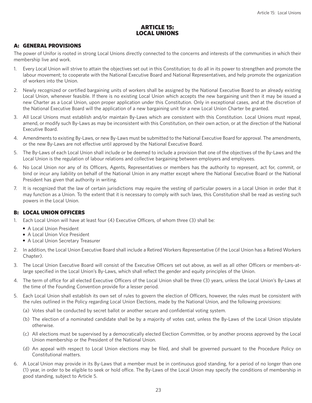# ARTICLE 15: LOCAL UNIONS

# A: GENERAL PROVISIONS

The power of Unifor is rooted in strong Local Unions directly connected to the concerns and interests of the communities in which their membership live and work.

- 1. Every Local Union will strive to attain the objectives set out in this Constitution; to do all in its power to strengthen and promote the labour movement; to cooperate with the National Executive Board and National Representatives, and help promote the organization of workers into the Union.
- 2. Newly recognized or certified bargaining units of workers shall be assigned by the National Executive Board to an already existing Local Union, whenever feasible. If there is no existing Local Union which accepts the new bargaining unit then it may be issued a new Charter as a Local Union, upon proper application under this Constitution. Only in exceptional cases, and at the discretion of the National Executive Board will the application of a new bargaining unit for a new Local Union Charter be granted.
- 3. All Local Unions must establish and/or maintain By-Laws which are consistent with this Constitution. Local Unions must repeal, amend, or modify such By-Laws as may be inconsistent with this Constitution, on their own action, or at the direction of the National Executive Board.
- 4. Amendments to existing By-Laws, or new By-Laws must be submitted to the National Executive Board for approval. The amendments, or the new By-Laws are not effective until approved by the National Executive Board.
- 5. The By-Laws of each Local Union shall include or be deemed to include a provision that one of the objectives of the By-Laws and the Local Union is the regulation of labour relations and collective bargaining between employers and employees.
- 6. No Local Union nor any of its Officers, Agents, Representatives or members has the authority to represent, act for, commit, or bind or incur any liability on behalf of the National Union in any matter except where the National Executive Board or the National President has given that authority in writing.
- 7. It is recognized that the law of certain jurisdictions may require the vesting of particular powers in a Local Union in order that it may function as a Union. To the extent that it is necessary to comply with such laws, this Constitution shall be read as vesting such powers in the Local Union.

## B: LOCAL UNION OFFICERS

- 1. Each Local Union will have at least four (4) Executive Officers, of whom three (3) shall be:
	- A Local Union President
	- A Local Union Vice President
	- A Local Union Secretary Treasurer
- 2. In addition, the Local Union Executive Board shall include a Retired Workers Representative (if the Local Union has a Retired Workers Chapter).
- 3. The Local Union Executive Board will consist of the Executive Officers set out above, as well as all other Officers or members-atlarge specified in the Local Union's By-Laws, which shall reflect the gender and equity principles of the Union.
- 4. The term of office for all elected Executive Officers of the Local Union shall be three (3) years, unless the Local Union's By-Laws at the time of the Founding Convention provide for a lesser period.
- 5. Each Local Union shall establish its own set of rules to govern the election of Officers, however, the rules must be consistent with the rules outlined in the Policy regarding Local Union Elections, made by the National Union, and the following provisions:
	- (a) Votes shall be conducted by secret ballot or another secure and confidential voting system.
	- (b) The election of a nominated candidate shall be by a majority of votes cast, unless the By-Laws of the Local Union stipulate otherwise.
	- (c) All elections must be supervised by a democratically elected Election Committee, or by another process approved by the Local Union membership or the President of the National Union.
	- (d) An appeal with respect to Local Union elections may be filed, and shall be governed pursuant to the Procedure Policy on Constitutional matters.
- 6. A Local Union may provide in its By-Laws that a member must be in continuous good standing, for a period of no longer than one (1) year, in order to be eligible to seek or hold office. The By-Laws of the Local Union may specify the conditions of membership in good standing, subject to Article 5.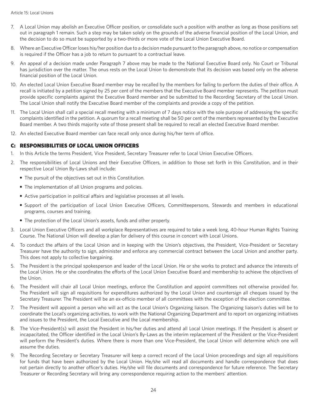- 7. A Local Union may abolish an Executive Officer position, or consolidate such a position with another as long as those positions set out in paragraph 1 remain. Such a step may be taken solely on the grounds of the adverse financial position of the Local Union, and the decision to do so must be supported by a two-thirds or more vote of the Local Union Executive Board.
- 8. Where an Executive Officer loses his/her position due to a decision made pursuant to the paragraph above, no notice or compensation is required if the Officer has a job to return to pursuant to a contractual leave.
- 9. An appeal of a decision made under Paragraph 7 above may be made to the National Executive Board only. No Court or Tribunal has jurisdiction over the matter. The onus rests on the Local Union to demonstrate that its decision was based only on the adverse financial position of the Local Union.
- 10. An elected Local Union Executive Board member may be recalled by the members for failing to perform the duties of their office. A recall is initiated by a petition signed by 25 per cent of the members that the Executive Board member represents. The petition must provide specific complaints against the Executive Board member and be submitted to the Recording Secretary of the Local Union. The Local Union shall notify the Executive Board member of the complaints and provide a copy of the petition.
- 11. The Local Union shall call a special recall meeting with a minimum of 7 days notice with the sole purpose of addressing the specific complaints identified in the petition. A quorum for a recall meeting shall be 50 per cent of the members represented by the Executive Board member. A two thirds majority vote of those present shall be required to recall an elected Executive Board member.
- 12. An elected Executive Board member can face recall only once during his/her term of office.

## C: RESPONSIBILITIES OF LOCAL UNION OFFICERS

- 1. In this Article the terms President, Vice President, Secretary Treasurer refer to Local Union Executive Officers.
- 2. The responsibilities of Local Unions and their Executive Officers, in addition to those set forth in this Constitution, and in their respective Local Union By-Laws shall include:
	- The pursuit of the objectives set out in this Constitution.
	- The implementation of all Union programs and policies.
	- Active participation in political affairs and legislative processes at all levels.
	- Support of the participation of Local Union Executive Officers, Committeepersons, Stewards and members in educational programs, courses and training.
	- The protection of the Local Union's assets, funds and other property.
- 3. Local Union Executive Officers and all workplace Representatives are required to take a week long, 40-hour Human Rights Training Course. The National Union will develop a plan for delivery of this course in concert with Local Unions.
- 4. To conduct the affairs of the Local Union and in keeping with the Union's objectives, the President, Vice-President or Secretary Treasurer have the authority to sign, administer and enforce any commercial contract between the Local Union and another party. This does not apply to collective bargaining.
- 5. The President is the principal spokesperson and leader of the Local Union. He or she works to protect and advance the interests of the Local Union. He or she coordinates the efforts of the Local Union Executive Board and membership to achieve the objectives of the Union.
- 6. The President will chair all Local Union meetings, enforce the Constitution and appoint committees not otherwise provided for. The President will sign all requisitions for expenditures authorized by the Local Union and countersign all cheques issued by the Secretary Treasurer. The President will be an ex-officio member of all committees with the exception of the election committee.
- 7. The President will appoint a person who will act as the Local Union's Organizing liaison. The Organizing liaison's duties will be to coordinate the Local's organizing activities, to work with the National Organizing Department and to report on organizing initiatives and issues to the President, the Local Executive and the Local membership.
- 8. The Vice-President(s) will assist the President in his/her duties and attend all Local Union meetings. If the President is absent or incapacitated, the Officer identified in the Local Union's By-Laws as the interim replacement of the President or the Vice-President will perform the President's duties. Where there is more than one Vice-President, the Local Union will determine which one will assume the duties.
- 9. The Recording Secretary or Secretary Treasurer will keep a correct record of the Local Union proceedings and sign all requisitions for funds that have been authorized by the Local Union. He/she will read all documents and handle correspondence that does not pertain directly to another officer's duties. He/she will file documents and correspondence for future reference. The Secretary Treasurer or Recording Secretary will bring any correspondence requiring action to the members' attention.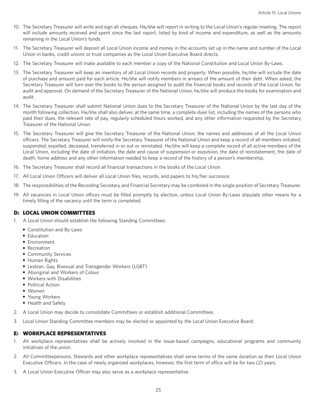- 10. The Secretary Treasurer will write and sign all cheques. He/she will report in writing to the Local Union's regular meeting. The report will include amounts received and spent since the last report, listed by kind of income and expenditure, as well as the amounts remaining in the Local Union's funds.
- 11. The Secretary Treasurer will deposit all Local Union income and money in the accounts set up in the name and number of the Local Union in banks, credit unions or trust companies as the Local Union Executive Board directs.
- 12. The Secretary Treasurer will make available to each member a copy of the National Constitution and Local Union By-Laws.
- 13. The Secretary Treasurer will keep an inventory of all Local Union records and property. When possible, he/she will include the date of purchase and amount paid for each article. He/she will notify members in arrears of the amount of their debt. When asked, the Secretary Treasurer will turn over the books to the person assigned to audit the financial books and records of the Local Union, for audit and approval. On demand of the Secretary Treasurer of the National Union, he/she will produce the books for examination and audit.
- 14. The Secretary Treasurer shall submit National Union dues to the Secretary Treasurer of the National Union by the last day of the month following collection. He/she shall also deliver, at the same time, a complete dues list, including the names of the persons who paid their dues, the relevant rate of pay, regularly scheduled hours worked, and any other information requested by the Secretary Treasurer of the National Union.
- 15. The Secretary Treasurer will give the Secretary Treasurer of the National Union, the names and addresses of all the Local Union officers. The Secretary Treasurer will notify the Secretary Treasurer of the National Union and keep a record of all members initiated, suspended, expelled, deceased, transferred in or out or reinstated. He/she will keep a complete record of all active members of the Local Union, including the date of initiation, the date and cause of suspension or expulsion, the date of reinstatement, the date of death, home address and any other information needed to keep a record of the history of a person's membership.
- 16. The Secretary Treasurer shall record all financial transactions in the books of the Local Union.
- 17. All Local Union Officers will deliver all Local Union files, records, and papers to his/her successor.
- 18. The responsibilities of the Recording Secretary and Financial Secretary may be combined in the single position of Secretary Treasurer.
- 19. All vacancies in Local Union offices must be filled promptly by election, unless Local Union By-Laws stipulate other means for a timely filling of the vacancy until the term is completed.

## D: LOCAL UNION COMMITTEES

- 1. A Local Union should establish the following Standing Committees:
	- Constitution and By-Laws
	- Education
	- Environment
	- Recreation
	- Community Services
	- Human Rights
	- Lesbian, Gay, Bisexual and Transgender Workers (LGBT)
	- Aboriginal and Workers of Colour
	- Workers with Disabilities
	- Political Action
	- Women
	- Young Workers
	- Health and Safety
- 2. A Local Union may decide to consolidate Committees or establish additional Committees.
- 3. Local Union Standing Committee members may be elected or appointed by the Local Union Executive Board.

## E: WORKPLACE REPRESENTATIVES

- 1. All workplace representatives shall be actively involved in the issue-based campaigns, educational programs and community initiatives of the union.
- 2. All Committeepersons, Stewards and other workplace representatives shall serve terms of the same duration as their Local Union Executive Officers. In the case of newly organized workplaces, however, the first term of office will be for two (2) years.
- 3. A Local Union Executive Officer may also serve as a workplace representative.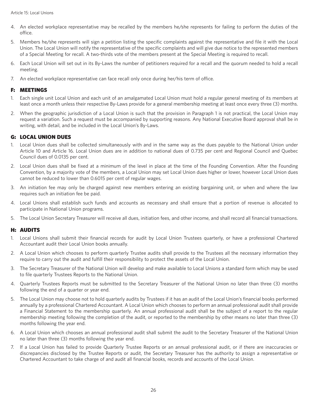- 4. An elected workplace representative may be recalled by the members he/she represents for failing to perform the duties of the office.
- 5. Members he/she represents will sign a petition listing the specific complaints against the representative and file it with the Local Union. The Local Union will notify the representative of the specific complaints and will give due notice to the represented members of a Special Meeting for recall. A two-thirds vote of the members present at the Special Meeting is required to recall.
- 6. Each Local Union will set out in its By-Laws the number of petitioners required for a recall and the quorum needed to hold a recall meeting.
- 7. An elected workplace representative can face recall only once during her/his term of office.

## F: MEETINGS

- 1. Each single unit Local Union and each unit of an amalgamated Local Union must hold a regular general meeting of its members at least once a month unless their respective By-Laws provide for a general membership meeting at least once every three (3) months.
- 2. When the geographic jurisdiction of a Local Union is such that the provision in Paragraph 1 is not practical, the Local Union may request a variation. Such a request must be accompanied by supporting reasons. Any National Executive Board approval shall be in writing, with detail, and be included in the Local Union's By-Laws.

# G: LOCAL UNION DUES

- 1. Local Union dues shall be collected simultaneously with and in the same way as the dues payable to the National Union under Article 10 and Article 16. Local Union dues are in addition to national dues of 0.735 per cent and Regional Council and Quebec Council dues of 0.0135 per cent.
- 2. Local Union dues shall be fixed at a minimum of the level in place at the time of the Founding Convention. After the Founding Convention, by a majority vote of the members, a Local Union may set Local Union dues higher or lower, however Local Union dues cannot be reduced to lower than 0.6015 per cent of regular wages.
- 3. An initiation fee may only be charged against new members entering an existing bargaining unit, or when and where the law requires such an initiation fee be paid.
- 4. Local Unions shall establish such funds and accounts as necessary and shall ensure that a portion of revenue is allocated to participate in National Union programs.
- 5. The Local Union Secretary Treasurer will receive all dues, initiation fees, and other income, and shall record all financial transactions.

## H: AUDITS

- 1. Local Unions shall submit their financial records for audit by Local Union Trustees quarterly, or have a professional Chartered Accountant audit their Local Union books annually.
- 2. A Local Union which chooses to perform quarterly Trustee audits shall provide to the Trustees all the necessary information they require to carry out the audit and fulfill their responsibility to protect the assets of the Local Union.
- 3. The Secretary Treasurer of the National Union will develop and make available to Local Unions a standard form which may be used to file quarterly Trustees Reports to the National Union.
- 4. Quarterly Trustees Reports must be submitted to the Secretary Treasurer of the National Union no later than three (3) months following the end of a quarter or year end.
- 5. The Local Union may choose not to hold quarterly audits by Trustees if it has an audit of the Local Union's financial books performed annually by a professional Chartered Accountant. A Local Union which chooses to perform an annual professional audit shall provide a Financial Statement to the membership quarterly. An annual professional audit shall be the subject of a report to the regular membership meeting following the completion of the audit, or reported to the membership by other means no later than three (3) months following the year end.
- 6. A Local Union which chooses an annual professional audit shall submit the audit to the Secretary Treasurer of the National Union no later than three (3) months following the year end.
- 7. If a Local Union has failed to provide Quarterly Trustee Reports or an annual professional audit, or if there are inaccuracies or discrepancies disclosed by the Trustee Reports or audit, the Secretary Treasurer has the authority to assign a representative or Chartered Accountant to take charge of and audit all financial books, records and accounts of the Local Union.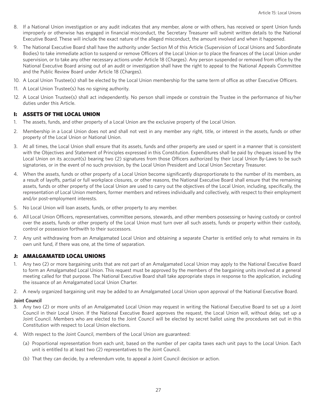- 8. If a National Union investigation or any audit indicates that any member, alone or with others, has received or spent Union funds improperly or otherwise has engaged in financial misconduct, the Secretary Treasurer will submit written details to the National Executive Board. These will include the exact nature of the alleged misconduct, the amount involved and when it happened.
- 9. The National Executive Board shall have the authority under Section M of this Article (Supervision of Local Unions and Subordinate Bodies) to take immediate action to suspend or remove Officers of the Local Union or to place the finances of the Local Union under supervision, or to take any other necessary actions under Article 18 (Charges). Any person suspended or removed from office by the National Executive Board arising out of an audit or investigation shall have the right to appeal to the National Appeals Committee and the Public Review Board under Article 18 (Charges).
- 10. A Local Union Trustee(s) shall be elected by the Local Union membership for the same term of office as other Executive Officers.
- 11. A Local Union Trustee(s) has no signing authority.
- 12. A Local Union Trustee(s) shall act independently. No person shall impede or constrain the Trustee in the performance of his/her duties under this Article.

## I: ASSETS OF THE LOCAL UNION

- 1. The assets, funds, and other property of a Local Union are the exclusive property of the Local Union.
- 2. Membership in a Local Union does not and shall not vest in any member any right, title, or interest in the assets, funds or other property of the Local Union or National Union.
- 3. At all times, the Local Union shall ensure that its assets, funds and other property are used or spent in a manner that is consistent with the Objectives and Statement of Principles expressed in this Constitution. Expenditures shall be paid by cheques issued by the Local Union on its account(s) bearing two (2) signatures from those Officers authorized by their Local Union By-Laws to be such signatories, or in the event of no such provision, by the Local Union President and Local Union Secretary Treasurer.
- 4. When the assets, funds or other property of a Local Union become significantly disproportionate to the number of its members, as a result of layoffs, partial or full workplace closures, or other reasons, the National Executive Board shall ensure that the remaining assets, funds or other property of the Local Union are used to carry out the objectives of the Local Union, including, specifically, the representation of Local Union members, former members and retirees individually and collectively, with respect to their employment and/or post-employment interests.
- 5. No Local Union will loan assets, funds, or other property to any member.
- 6. All Local Union Officers, representatives, committee persons, stewards, and other members possessing or having custody or control over the assets, funds or other property of the Local Union must turn over all such assets, funds or property within their custody, control or possession forthwith to their successors.
- 7. Any unit withdrawing from an Amalgamated Local Union and obtaining a separate Charter is entitled only to what remains in its own unit fund, if there was one, at the time of separation.

## J: AMALGAMATED LOCAL UNIONS

- 1. Any two (2) or more bargaining units that are not part of an Amalgamated Local Union may apply to the National Executive Board to form an Amalgamated Local Union. This request must be approved by the members of the bargaining units involved at a general meeting called for that purpose. The National Executive Board shall take appropriate steps in response to the application, including the issuance of an Amalgamated Local Union Charter.
- 2. A newly organized bargaining unit may be added to an Amalgamated Local Union upon approval of the National Executive Board.

## **Joint Council**

- 3. Any two (2) or more units of an Amalgamated Local Union may request in writing the National Executive Board to set up a Joint Council in their Local Union. If the National Executive Board approves the request, the Local Union will, without delay, set up a Joint Council. Members who are elected to the Joint Council will be elected by secret ballot using the procedures set out in this Constitution with respect to Local Union elections.
- 4. With respect to the Joint Council, members of the Local Union are guaranteed:
	- (a) Proportional representation from each unit, based on the number of per capita taxes each unit pays to the Local Union. Each unit is entitled to at least two (2) representatives to the Joint Council.
	- (b) That they can decide, by a referendum vote, to appeal a Joint Council decision or action.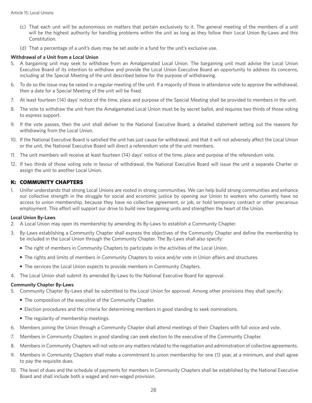- (c) That each unit will be autonomous on matters that pertain exclusively to it. The general meeting of the members of a unit will be the highest authority for handling problems within the unit as long as they follow their Local Union By-Laws and this Constitution.
- (d) That a percentage of a unit's dues may be set aside in a fund for the unit's exclusive use.

## **Withdrawal of a Unit from a Local Union**

- 5. A bargaining unit may seek to withdraw from an Amalgamated Local Union. The bargaining unit must advise the Local Union Executive Board of its intention to withdraw and provide the Local Union Executive Board an opportunity to address its concerns, including at the Special Meeting of the unit described below for the purpose of withdrawing.
- 6. To do so the issue may be raised in a regular meeting of the unit. If a majority of those in attendance vote to approve the withdrawal, then a date for a Special Meeting of the unit will be fixed.
- 7. At least fourteen (14) days' notice of the time, place and purpose of the Special Meeting shall be provided to members in the unit.
- 8. The vote to withdraw the unit from the Amalgamated Local Union must be by secret ballot, and requires two thirds of those voting to express support.
- 9. If the vote passes, then the unit shall deliver to the National Executive Board, a detailed statement setting out the reasons for withdrawing from the Local Union.
- 10. If the National Executive Board is satisfied the unit has just cause for withdrawal, and that it will not adversely affect the Local Union or the unit, the National Executive Board will direct a referendum vote of the unit members.
- 11. The unit members will receive at least fourteen (14) days' notice of the time, place and purpose of the referendum vote.
- 12. If two thirds of those voting vote in favour of withdrawal, the National Executive Board will issue the unit a separate Charter or assign the unit to another Local Union.

## K: COMMUNITY CHAPTERS

1. Unifor understands that strong Local Unions are rooted in strong communities. We can help build strong communities and enhance our collective strength in the struggle for social and economic justice by opening our Union to workers who currently have no access to union membership, because they have no collective agreement, or job, or hold temporary contract or other precarious employment. This effort will support our drive to build new bargaining units and strengthen the heart of the Union.

## **Local Union By-Laws**

- 2. A Local Union may open its membership by amending its By-Laws to establish a Community Chapter.
- 3. By-Laws establishing a Community Chapter shall express the objectives of the Community Chapter and define the membership to be included in the Local Union through the Community Chapter. The By-Laws shall also specify:
	- The right of members in Community Chapters to participate in the activities of the Local Union.
	- The rights and limits of members in Community Chapters to voice and/or vote in Union affairs and structures.
	- The services the Local Union expects to provide members in Community Chapters.
- 4. The Local Union shall submit its amended By-Laws to the National Executive Board for approval.

## **Community Chapter By-Laws**

- 5. Community Chapter By-Laws shall be submitted to the Local Union for approval. Among other provisions they shall specify:
	- The composition of the executive of the Community Chapter.
	- Election procedures and the criteria for determining members in good standing to seek nominations.
	- The regularity of membership meetings.
- 6. Members joining the Union through a Community Chapter shall attend meetings of their Chapters with full voice and vote.
- 7. Members in Community Chapters in good standing can seek election to the executive of the Community Chapter.
- 8. Members in Community Chapters will not vote on any matters related to the negotiation and administration of collective agreements.
- 9. Members in Community Chapters shall make a commitment to union membership for one (1) year, at a minimum, and shall agree to pay the requisite dues.
- 10. The level of dues and the schedule of payments for members in Community Chapters shall be established by the National Executive Board and shall include both a waged and non-waged provision.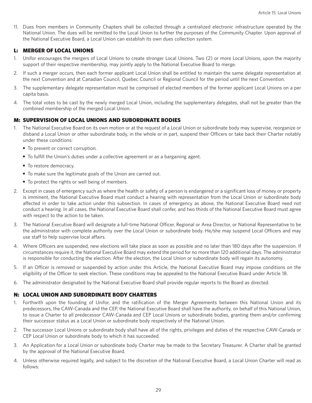11. Dues from members in Community Chapters shall be collected through a centralized electronic infrastructure operated by the National Union. The dues will be remitted to the Local Union to further the purposes of the Community Chapter. Upon approval of the National Executive Board, a Local Union can establish its own dues collection system.

## L: MERGER OF LOCAL UNIONS

- 1. Unifor encourages the mergers of Local Unions to create stronger Local Unions. Two (2) or more Local Unions, upon the majority support of their respective membership, may jointly apply to the National Executive Board to merge.
- 2. If such a merger occurs, then each former applicant Local Union shall be entitled to maintain the same delegate representation at the next Convention and at Canadian Council, Quebec Council or Regional Council for the period until the next Convention.
- 3. The supplementary delegate representation must be comprised of elected members of the former applicant Local Unions on a per capita basis.
- 4. The total votes to be cast by the newly merged Local Union, including the supplementary delegates, shall not be greater than the combined membership of the merged Local Union.

## M: SUPERVISION OF LOCAL UNIONS AND SUBORDINATE BODIES

- 1. The National Executive Board on its own motion or at the request of a Local Union or subordinate body may supervise, reorganize or disband a Local Union or other subordinate body, in the whole or in part, suspend their Officers or take back their Charter notably under these conditions:
	- To prevent or correct corruption.
	- To fulfill the Union's duties under a collective agreement or as a bargaining agent.
	- To restore democracy.
	- To make sure the legitimate goals of the Union are carried out.
	- To protect the rights or well being of members.
- 2. Except in cases of emergency such as where the health or safety of a person is endangered or a significant loss of money or property is imminent, the National Executive Board must conduct a hearing with representation from the Local Union or subordinate body affected in order to take action under this subsection. In cases of emergency as above, the National Executive Board need not conduct a hearing. In all cases, the National Executive Board shall confer, and two thirds of the National Executive Board must agree with respect to the action to be taken.
- 3. The National Executive Board will designate a full-time National Officer, Regional or Area Director, or National Representative to be the administrator with complete authority over the Local Union or subordinate body. He/she may suspend Local Officers and may use staff to help supervise local affairs.
- 4. Where Officers are suspended, new elections will take place as soon as possible and no later than 180 days after the suspension. If circumstances require it, the National Executive Board may extend the period for no more than 120 additional days. The administrator is responsible for conducting the election. After the election, the Local Union or subordinate body will regain its autonomy.
- 5. If an Officer is removed or suspended by action under this Article, the National Executive Board may impose conditions on the eligibility of the Officer to seek election. These conditions may be appealed to the National Executive Board under Article 18.
- 6. The administrator designated by the National Executive Board shall provide regular reports to the Board as directed.

## N: LOCAL UNION AND SUBORDINATE BODY CHARTERS

- 1. Forthwith upon the founding of Unifor, and the ratification of the Merger Agreements between this National Union and its predecessors, the CAW-Canada and the CEP, the National Executive Board shall have the authority, on behalf of this National Union, to issue a Charter to all predecessor CAW-Canada and CEP Local Unions or subordinate bodies, granting them and/or confirming their successor status as a Local Union or subordinate body respectively of the National Union.
- 2. The successor Local Unions or subordinate body shall have all of the rights, privileges and duties of the respective CAW-Canada or CEP Local Union or subordinate body to which it has succeeded.
- 3. An Application for a Local Union or subordinate body Charter may be made to the Secretary Treasurer. A Charter shall be granted by the approval of the National Executive Board.
- 4. Unless otherwise required legally, and subject to the discretion of the National Executive Board, a Local Union Charter will read as follows: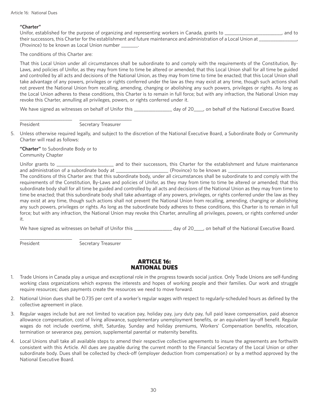## **"Charter"**

 Unifor, established for the purpose of organizing and representing workers in Canada, grants to \_\_\_\_\_\_\_\_\_\_\_\_\_\_\_\_\_\_\_\_\_\_\_\_, and to their successors, this Charter for the establishment and future maintenance and administration of a Local Union at \_\_\_\_\_\_ (Province) to be known as Local Union number \_\_\_\_\_\_\_.

The conditions of this Charter are:

 That this Local Union under all circumstances shall be subordinate to and comply with the requirements of the Constitution, By-Laws, and policies of Unifor, as they may from time to time be altered or amended; that this Local Union shall for all time be guided and controlled by all acts and decisions of the National Union, as they may from time to time be enacted; that this Local Union shall take advantage of any powers, privileges or rights conferred under the law as they may exist at any time, though such actions shall not prevent the National Union from recalling, amending, changing or abolishing any such powers, privileges or rights. As long as the Local Union adheres to these conditions, this Charter is to remain in full force; but with any infraction, the National Union may revoke this Charter, annulling all privileges, powers, or rights conferred under it.

We have signed as witnesses on behalf of Unifor this \_\_\_\_\_\_\_\_\_\_\_\_\_\_\_ day of 20\_\_\_\_, on behalf of the National Executive Board.

President Secretary Treasurer

5. Unless otherwise required legally, and subject to the discretion of the National Executive Board, a Subordinate Body or Community Charter will read as follows:

 **"Charter"** to Subordinate Body or to Community Chapter

\_\_\_\_\_\_\_\_\_\_\_\_\_\_\_\_\_\_\_\_\_\_ \_\_\_\_\_\_\_\_\_\_\_\_\_\_\_\_\_\_\_\_\_\_

\_\_\_\_\_\_\_\_\_\_\_\_\_\_\_\_\_\_\_\_\_\_ \_\_\_\_\_\_\_\_\_\_\_\_\_\_\_\_\_\_\_\_\_\_

 Unifor grants to \_\_\_\_\_\_\_\_\_\_\_\_\_\_\_\_\_\_\_\_\_\_\_\_ and to their successors, this Charter for the establishment and future maintenance and administration of a subordinate body at \_\_\_\_\_\_\_\_\_\_\_\_\_\_\_\_\_\_\_\_\_\_\_\_\_(Province) to be known as \_ The conditions of this Charter are: that this subordinate body, under all circumstances shall be subordinate to and comply with the requirements of the Constitution, By-Laws and policies of Unifor, as they may from time to time be altered or amended; that this subordinate body shall for all time be guided and controlled by all acts and decisions of the National Union as they may from time to time be enacted; that this subordinate body shall take advantage of any powers, privileges, or rights conferred under the law as they may exist at any time, though such actions shall not prevent the National Union from recalling, amending, changing or abolishing any such powers, privileges or rights. As long as the subordinate body adheres to these conditions, this Charter is to remain in full force; but with any infraction, the National Union may revoke this Charter, annulling all privileges, powers, or rights conferred under it.

We have signed as witnesses on behalf of Unifor this \_\_\_\_\_\_\_\_\_\_\_\_\_\_\_ day of 20\_\_\_\_, on behalf of the National Executive Board.

President Secretary Treasurer

## ARTICLE 16: NATIONAL DUES

- 1. Trade Unions in Canada play a unique and exceptional role in the progress towards social justice. Only Trade Unions are self-funding working class organizations which express the interests and hopes of working people and their families. Our work and struggle require resources; dues payments create the resources we need to move forward.
- 2. National Union dues shall be 0.735 per cent of a worker's regular wages with respect to regularly-scheduled hours as defined by the collective agreement in place.
- 3. Regular wages include but are not limited to vacation pay, holiday pay, jury duty pay, full paid leave compensation, paid absence allowance compensation, cost of living allowance, supplementary unemployment benefits, or an equivalent lay-off benefit. Regular wages do not include overtime, shift, Saturday, Sunday and holiday premiums, Workers' Compensation benefits, relocation, termination or severance pay, pension, supplemental parental or maternity benefits.
- 4. Local Unions shall take all available steps to amend their respective collective agreements to insure the agreements are forthwith consistent with this Article. All dues are payable during the current month to the Financial Secretary of the Local Union or other subordinate body. Dues shall be collected by check-off (employer deduction from compensation) or by a method approved by the National Executive Board.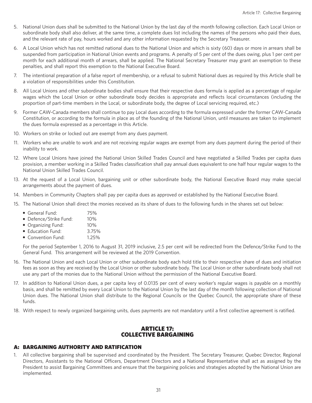- 5. National Union dues shall be submitted to the National Union by the last day of the month following collection. Each Local Union or subordinate body shall also deliver, at the same time, a complete dues list including the names of the persons who paid their dues, and the relevant rate of pay, hours worked and any other information requested by the Secretary Treasurer.
- 6. A Local Union which has not remitted national dues to the National Union and which is sixty (60) days or more in arrears shall be suspended from participation in National Union events and programs. A penalty of 5 per cent of the dues owing, plus 1 per cent per month for each additional month of arrears, shall be applied. The National Secretary Treasurer may grant an exemption to these penalties, and shall report this exemption to the National Executive Board.
- 7. The intentional preparation of a false report of membership, or a refusal to submit National dues as required by this Article shall be a violation of responsibilities under this Constitution.
- 8. All Local Unions and other subordinate bodies shall ensure that their respective dues formula is applied as a percentage of regular wages which the Local Union or other subordinate body decides is appropriate and reflects local circumstances (including the proportion of part-time members in the Local, or subordinate body, the degree of Local servicing required, etc.)
- 9. Former CAW-Canada members shall continue to pay Local dues according to the formula expressed under the former CAW-Canada Constitution, or according to the formula in place as of the founding of the National Union, until measures are taken to implement the dues formula expressed as a percentage in this Article.
- 10. Workers on strike or locked out are exempt from any dues payment.
- 11. Workers who are unable to work and are not receiving regular wages are exempt from any dues payment during the period of their inability to work.
- 12. Where Local Unions have joined the National Union Skilled Trades Council and have negotiated a Skilled Trades per capita dues provision, a member working in a Skilled Trades classification shall pay annual dues equivalent to one half hour regular wages to the National Union Skilled Trades Council.
- 13. At the request of a Local Union, bargaining unit or other subordinate body, the National Executive Board may make special arrangements about the payment of dues.
- 14. Members in Community Chapters shall pay per capita dues as approved or established by the National Executive Board.
- 15. The National Union shall direct the monies received as its share of dues to the following funds in the shares set out below:
	- General Fund: 75%
	- Defence/Strike Fund: 10%
	- Organizing Fund: 10%
	- Education Fund: 3.75%
	- Convention Fund: 1.25%

 For the period September 1, 2016 to August 31, 2019 inclusive, 2.5 per cent will be redirected from the Defence/Strike Fund to the General Fund. This arrangement will be reviewed at the 2019 Convention.

- 16. The National Union and each Local Union or other subordinate body each hold title to their respective share of dues and initiation fees as soon as they are received by the Local Union or other subordinate body. The Local Union or other subordinate body shall not use any part of the monies due to the National Union without the permission of the National Executive Board.
- 17. In addition to National Union dues, a per capita levy of 0.0135 per cent of every worker's regular wages is payable on a monthly basis, and shall be remitted by every Local Union to the National Union by the last day of the month following collection of National Union dues. The National Union shall distribute to the Regional Councils or the Quebec Council, the appropriate share of these funds.
- 18. With respect to newly organized bargaining units, dues payments are not mandatory until a first collective agreement is ratified.

# ARTICLE 17: COLLECTIVE BARGAINING

# A: BARGAINING AUTHORITY AND RATIFICATION

1. All collective bargaining shall be supervised and coordinated by the President. The Secretary Treasurer, Quebec Director, Regional Directors, Assistants to the National Officers, Department Directors and a National Representative shall act as assigned by the President to assist Bargaining Committees and ensure that the bargaining policies and strategies adopted by the National Union are implemented.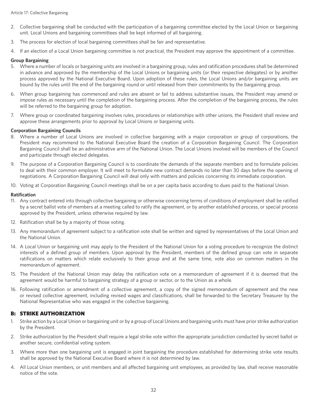- 2. Collective bargaining shall be conducted with the participation of a bargaining committee elected by the Local Union or bargaining unit. Local Unions and bargaining committees shall be kept informed of all bargaining.
- 3. The process for election of local bargaining committees shall be fair and representative.
- 4. If an election of a Local Union bargaining committee is not practical, the President may approve the appointment of a committee.

## **Group Bargaining**

- 5. Where a number of locals or bargaining units are involved in a bargaining group, rules and ratification procedures shall be determined in advance and approved by the membership of the Local Unions or bargaining units (or their respective delegates) or by another process approved by the National Executive Board. Upon adoption of these rules, the Local Unions and/or bargaining units are bound by the rules until the end of the bargaining round or until released from their commitments by the bargaining group.
- 6. When group bargaining has commenced and rules are absent or fail to address substantive issues, the President may amend or impose rules as necessary until the completion of the bargaining process. After the completion of the bargaining process, the rules will be referred to the bargaining group for adoption.
- 7. Where group or coordinated bargaining involves rules, procedures or relationships with other unions, the President shall review and approve these arrangements prior to approval by Local Unions or bargaining units.

## **Corporation Bargaining Councils**

- 8. Where a number of Local Unions are involved in collective bargaining with a major corporation or group of corporations, the President may recommend to the National Executive Board the creation of a Corporation Bargaining Council. The Corporation Bargaining Council shall be an administrative arm of the National Union. The Local Unions involved will be members of the Council and participate through elected delegates.
- 9. The purpose of a Corporation Bargaining Council is to coordinate the demands of the separate members and to formulate policies to deal with their common employer. It will meet to formulate new contract demands no later than 30 days before the opening of negotiations. A Corporation Bargaining Council will deal only with matters and policies concerning its immediate corporation.
- 10. Voting at Corporation Bargaining Council meetings shall be on a per capita basis according to dues paid to the National Union.

#### **Ratification**

- 11. Any contract entered into through collective bargaining or otherwise concerning terms of conditions of employment shall be ratified by a secret ballot vote of members at a meeting called to ratify the agreement, or by another established process, or special process approved by the President, unless otherwise required by law.
- 12. Ratification shall be by a majority of those voting.
- 13. Any memorandum of agreement subject to a ratification vote shall be written and signed by representatives of the Local Union and the National Union.
- 14. A Local Union or bargaining unit may apply to the President of the National Union for a voting procedure to recognize the distinct interests of a defined group of members. Upon approval by the President, members of the defined group can vote in separate ratifications on matters which relate exclusively to their group and at the same time, vote also on common matters in the memorandum of agreement.
- 15. The President of the National Union may delay the ratification vote on a memorandum of agreement if it is deemed that the agreement would be harmful to bargaining strategy of a group or sector, or to the Union as a whole.
- 16. Following ratification or amendment of a collective agreement, a copy of the signed memorandum of agreement and the new or revised collective agreement, including revised wages and classifications, shall be forwarded to the Secretary Treasurer by the National Representative who was engaged in the collective bargaining.

## B: STRIKE AUTHORIZATION

- 1. Strike action by a Local Union or bargaining unit or by a group of Local Unions and bargaining units must have prior strike authorization by the President.
- 2. Strike authorization by the President shall require a legal strike vote within the appropriate jurisdiction conducted by secret ballot or another secure, confidential voting system.
- 3. Where more than one bargaining unit is engaged in joint bargaining the procedure established for determining strike vote results shall be approved by the National Executive Board where it is not determined by law.
- 4. All Local Union members, or unit members and all affected bargaining unit employees, as provided by law, shall receive reasonable notice of the vote.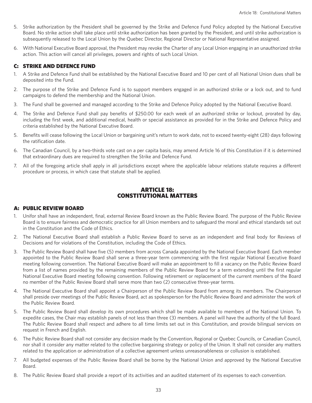- 5. Strike authorization by the President shall be governed by the Strike and Defence Fund Policy adopted by the National Executive Board. No strike action shall take place until strike authorization has been granted by the President, and until strike authorization is subsequently released to the Local Union by the Quebec Director, Regional Director or National Representative assigned.
- 6. With National Executive Board approval, the President may revoke the Charter of any Local Union engaging in an unauthorized strike action. This action will cancel all privileges, powers and rights of such Local Union.

## C: STRIKE AND DEFENCE FUND

- 1. A Strike and Defence Fund shall be established by the National Executive Board and 10 per cent of all National Union dues shall be deposited into the Fund.
- 2. The purpose of the Strike and Defence Fund is to support members engaged in an authorized strike or a lock out, and to fund campaigns to defend the membership and the National Union.
- 3. The Fund shall be governed and managed according to the Strike and Defence Policy adopted by the National Executive Board.
- 4. The Strike and Defence Fund shall pay benefits of \$250.00 for each week of an authorized strike or lockout, prorated by day, including the first week, and additional medical, health or special assistance as provided for in the Strike and Defence Policy and criteria established by the National Executive Board.
- 5. Benefits will cease following the Local Union or bargaining unit's return to work date, not to exceed twenty-eight (28) days following the ratification date.
- 6. The Canadian Council, by a two-thirds vote cast on a per capita basis, may amend Article 16 of this Constitution if it is determined that extraordinary dues are required to strengthen the Strike and Defence Fund.
- 7. All of the foregoing article shall apply in all jurisdictions except where the applicable labour relations statute requires a different procedure or process, in which case that statute shall be applied.

# ARTICLE 18: CONSTITUTIONAL MATTERS

## A: PUBLIC REVIEW BOARD

- 1. Unifor shall have an independent, final, external Review Board known as the Public Review Board. The purpose of the Public Review Board is to ensure fairness and democratic practice for all Union members and to safeguard the moral and ethical standards set out in the Constitution and the Code of Ethics.
- 2. The National Executive Board shall establish a Public Review Board to serve as an independent and final body for Reviews of Decisions and for violations of the Constitution, including the Code of Ethics.
- 3. The Public Review Board shall have five (5) members from across Canada appointed by the National Executive Board. Each member appointed to the Public Review Board shall serve a three-year term commencing with the first regular National Executive Board meeting following convention. The National Executive Board will make an appointment to fill a vacancy on the Public Review Board from a list of names provided by the remaining members of the Public Review Board for a term extending until the first regular National Executive Board meeting following convention. Following retirement or replacement of the current members of the Board no member of the Public Review Board shall serve more than two (2) consecutive three-year terms.
- 4. The National Executive Board shall appoint a Chairperson of the Public Review Board from among its members. The Chairperson shall preside over meetings of the Public Review Board, act as spokesperson for the Public Review Board and administer the work of the Public Review Board.
- 5. The Public Review Board shall develop its own procedures which shall be made available to members of the National Union. To expedite cases, the Chair may establish panels of not less than three (3) members. A panel will have the authority of the full Board. The Public Review Board shall respect and adhere to all time limits set out in this Constitution, and provide bilingual services on request in French and English.
- 6. The Pubic Review Board shall not consider any decision made by the Convention, Regional or Quebec Councils, or Canadian Council, nor shall it consider any matter related to the collective bargaining strategy or policy of the Union. It shall not consider any matters related to the application or administration of a collective agreement unless unreasonableness or collusion is established.
- 7. All budgeted expenses of the Public Review Board shall be borne by the National Union and approved by the National Executive Board.
- 8. The Public Review Board shall provide a report of its activities and an audited statement of its expenses to each convention.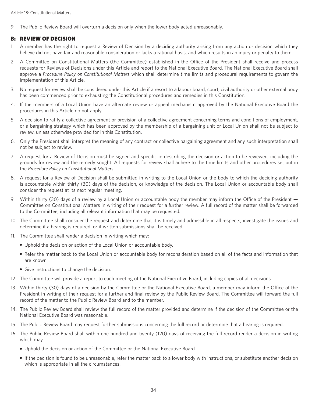9. The Public Review Board will overturn a decision only when the lower body acted unreasonably.

## B: REVIEW OF DECISION

- 1. A member has the right to request a Review of Decision by a deciding authority arising from any action or decision which they believe did not have fair and reasonable consideration or lacks a rational basis, and which results in an injury or penalty to them.
- 2. A Committee on Constitutional Matters (the Committee) established in the Office of the President shall receive and process requests for Reviews of Decisions under this Article and report to the National Executive Board. The National Executive Board shall approve a *Procedure Policy on Constitutional Matter*s which shall determine time limits and procedural requirements to govern the implementation of this Article.
- 3. No request for review shall be considered under this Article if a resort to a labour board, court, civil authority or other external body has been commenced prior to exhausting the Constitutional procedures and remedies in this Constitution.
- 4. If the members of a Local Union have an alternate review or appeal mechanism approved by the National Executive Board the procedures in this Article do not apply.
- 5. A decision to ratify a collective agreement or provision of a collective agreement concerning terms and conditions of employment, or a bargaining strategy which has been approved by the membership of a bargaining unit or Local Union shall not be subject to review, unless otherwise provided for in this Constitution.
- 6. Only the President shall interpret the meaning of any contract or collective bargaining agreement and any such interpretation shall not be subject to review.
- 7. A request for a Review of Decision must be signed and specific in describing the decision or action to be reviewed, including the grounds for review and the remedy sought. All requests for review shall adhere to the time limits and other procedures set out in the *Procedure Policy on Constitutional Matters*.
- 8. A request for a Review of Decision shall be submitted in writing to the Local Union or the body to which the deciding authority is accountable within thirty (30) days of the decision, or knowledge of the decision. The Local Union or accountable body shall consider the request at its next regular meeting.
- 9. Within thirty (30) days of a review by a Local Union or accountable body the member may inform the Office of the President Committee on Constitutional Matters in writing of their request for a further review. A full record of the matter shall be forwarded to the Committee, including all relevant information that may be requested.
- 10. The Committee shall consider the request and determine that it is timely and admissible in all respects, investigate the issues and determine if a hearing is required, or if written submissions shall be received.
- 11. The Committee shall render a decision in writing which may:
	- Uphold the decision or action of the Local Union or accountable body.
	- Refer the matter back to the Local Union or accountable body for reconsideration based on all of the facts and information that are known.
	- Give instructions to change the decision.
- 12. The Committee will provide a report to each meeting of the National Executive Board, including copies of all decisions.
- 13. Within thirty (30) days of a decision by the Committee or the National Executive Board, a member may inform the Office of the President in writing of their request for a further and final review by the Public Review Board. The Committee will forward the full record of the matter to the Public Review Board and to the member.
- 14. The Public Review Board shall review the full record of the matter provided and determine if the decision of the Committee or the National Executive Board was reasonable.
- 15. The Public Review Board may request further submissions concerning the full record or determine that a hearing is required.
- 16. The Public Review Board shall within one hundred and twenty (120) days of receiving the full record render a decision in writing which may:
	- Uphold the decision or action of the Committee or the National Executive Board.
	- If the decision is found to be unreasonable, refer the matter back to a lower body with instructions, or substitute another decision which is appropriate in all the circumstances.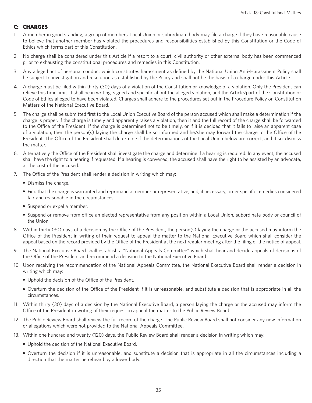# C: CHARGES

- 1. A member in good standing, a group of members, Local Union or subordinate body may file a charge if they have reasonable cause to believe that another member has violated the procedures and responsibilities established by this Constitution or the Code of Ethics which forms part of this Constitution.
- 2. No charge shall be considered under this Article if a resort to a court, civil authority or other external body has been commenced prior to exhausting the constitutional procedures and remedies in this Constitution.
- 3. Any alleged act of personal conduct which constitutes harassment as defined by the National Union Anti-Harassment Policy shall be subject to investigation and resolution as established by the Policy and shall not be the basis of a charge under this Article.
- 4. A charge must be filed within thirty (30) days of a violation of the Constitution or knowledge of a violation. Only the President can relieve this time limit. It shall be in writing, signed and specific about the alleged violation, and the Article/part of the Constitution or Code of Ethics alleged to have been violated. Charges shall adhere to the procedures set out in the Procedure Policy on Constitution Matters of the National Executive Board.
- 5. The charge shall be submitted first to the Local Union Executive Board of the person accused which shall make a determination if the charge is proper. If the charge is timely and apparently raises a violation, then it and the full record of the charge shall be forwarded to the Office of the President. If the charge is determined not to be timely, or if it is decided that it fails to raise an apparent case of a violation, then the person(s) laying the charge shall be so informed and he/she may forward the charge to the Office of the President. The Office of the President shall determine if the determinations of the Local Union below are correct, and if so, dismiss the matter.
- 6. Alternatively the Office of the President shall investigate the charge and determine if a hearing is required. In any event, the accused shall have the right to a hearing if requested. If a hearing is convened, the accused shall have the right to be assisted by an advocate, at the cost of the accused.
- 7. The Office of the President shall render a decision in writing which may:
	- Dismiss the charge.
	- Find that the charge is warranted and reprimand a member or representative, and, if necessary, order specific remedies considered fair and reasonable in the circumstances.
	- Suspend or expel a member.
	- Suspend or remove from office an elected representative from any position within a Local Union, subordinate body or council of the Union.
- 8. Within thirty (30) days of a decision by the Office of the President, the person(s) laying the charge or the accused may inform the Office of the President in writing of their request to appeal the matter to the National Executive Board which shall consider the appeal based on the record provided by the Office of the President at the next regular meeting after the filing of the notice of appeal.
- 9. The National Executive Board shall establish a "National Appeals Committee" which shall hear and decide appeals of decisions of the Office of the President and recommend a decision to the National Executive Board.
- 10. Upon receiving the recommendation of the National Appeals Committee, the National Executive Board shall render a decision in writing which may:
	- Uphold the decision of the Office of the President.
	- Overturn the decision of the Office of the President if it is unreasonable, and substitute a decision that is appropriate in all the circumstances.
- 11. Within thirty (30) days of a decision by the National Executive Board, a person laying the charge or the accused may inform the Office of the President in writing of their request to appeal the matter to the Public Review Board.
- 12. The Public Review Board shall review the full record of the charge. The Public Review Board shall not consider any new information or allegations which were not provided to the National Appeals Committee.
- 13. Within one hundred and twenty (120) days, the Public Review Board shall render a decision in writing which may:
	- Uphold the decision of the National Executive Board.
	- Overturn the decision if it is unreasonable, and substitute a decision that is appropriate in all the circumstances including a direction that the matter be reheard by a lower body.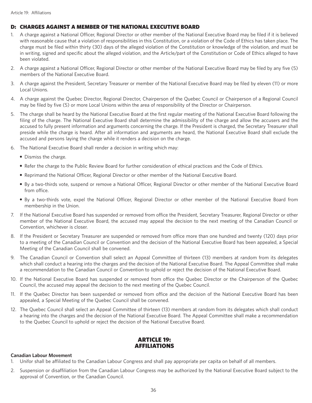# D: CHARGES AGAINST A MEMBER OF THE NATIONAL EXECUTIVE BOARD

- 1. A charge against a National Officer, Regional Director or other member of the National Executive Board may be filed if it is believed with reasonable cause that a violation of responsibilities in this Constitution, or a violation of the Code of Ethics has taken place. The charge must be filed within thirty (30) days of the alleged violation of the Constitution or knowledge of the violation, and must be in writing, signed and specific about the alleged violation, and the Article/part of the Constitution or Code of Ethics alleged to have been violated.
- 2. A charge against a National Officer, Regional Director or other member of the National Executive Board may be filed by any five (5) members of the National Executive Board.
- 3. A charge against the President, Secretary Treasurer or member of the National Executive Board may be filed by eleven (11) or more Local Unions.
- 4. A charge against the Quebec Director, Regional Director, Chairperson of the Quebec Council or Chairperson of a Regional Council may be filed by five (5) or more Local Unions within the area of responsibility of the Director or Chairperson.
- 5. The charge shall be heard by the National Executive Board at the first regular meeting of the National Executive Board following the filing of the charge. The National Executive Board shall determine the admissibility of the charge and allow the accusers and the accused to fully present information and arguments concerning the charge. If the President is charged, the Secretary Treasurer shall preside while the charge is heard. After all information and arguments are heard, the National Executive Board shall exclude the accused and persons laying the charge while it renders a decision on the charge.
- 6. The National Executive Board shall render a decision in writing which may:
	- Dismiss the charge.
	- Refer the charge to the Public Review Board for further consideration of ethical practices and the Code of Ethics.
	- Reprimand the National Officer, Regional Director or other member of the National Executive Board.
	- By a two-thirds vote, suspend or remove a National Officer, Regional Director or other member of the National Executive Board from office.
	- By a two-thirds vote, expel the National Officer, Regional Director or other member of the National Executive Board from membership in the Union.
- 7. If the National Executive Board has suspended or removed from office the President, Secretary Treasurer, Regional Director or other member of the National Executive Board, the accused may appeal the decision to the next meeting of the Canadian Council or Convention, whichever is closer.
- 8. If the President or Secretary Treasurer are suspended or removed from office more than one hundred and twenty (120) days prior to a meeting of the Canadian Council or Convention and the decision of the National Executive Board has been appealed, a Special Meeting of the Canadian Council shall be convened.
- 9. The Canadian Council or Convention shall select an Appeal Committee of thirteen (13) members at random from its delegates which shall conduct a hearing into the charges and the decision of the National Executive Board. The Appeal Committee shall make a recommendation to the Canadian Council or Convention to uphold or reject the decision of the National Executive Board.
- 10. If the National Executive Board has suspended or removed from office the Quebec Director or the Chairperson of the Quebec Council, the accused may appeal the decision to the next meeting of the Quebec Council.
- 11. If the Quebec Director has been suspended or removed from office and the decision of the National Executive Board has been appealed, a Special Meeting of the Quebec Council shall be convened.
- 12. The Quebec Council shall select an Appeal Committee of thirteen (13) members at random from its delegates which shall conduct a hearing into the charges and the decision of the National Executive Board. The Appeal Committee shall make a recommendation to the Quebec Council to uphold or reject the decision of the National Executive Board.

# ARTICLE 19: AFFILIATIONS

## **Canadian Labour Movement**

- 1. Unifor shall be affiliated to the Canadian Labour Congress and shall pay appropriate per capita on behalf of all members.
- 2. Suspension or disaffiliation from the Canadian Labour Congress may be authorized by the National Executive Board subject to the approval of Convention, or the Canadian Council.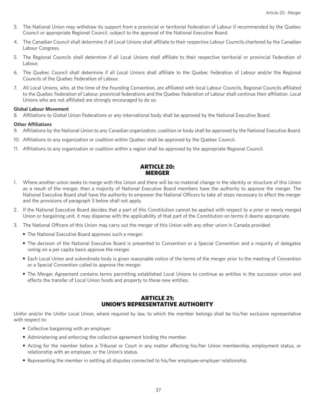- 3. The National Union may withdraw its support from a provincial or territorial Federation of Labour if recommended by the Quebec Council or appropriate Regional Council, subject to the approval of the National Executive Board.
- 4. The Canadian Council shall determine if all Local Unions shall affiliate to their respective Labour Councils chartered by the Canadian Labour Congress.
- 5. The Regional Councils shall determine if all Local Unions shall affiliate to their respective territorial or provincial Federation of Labour.
- 6. The Quebec Council shall determine if all Local Unions shall affiliate to the Quebec Federation of Labour and/or the Regional Councils of the Quebec Federation of Labour.
- 7. All Local Unions, who, at the time of the Founding Convention, are affiliated with local Labour Councils, Regional Councils affiliated to the Quebec Federation of Labour, provincial federations and the Quebec Federation of Labour shall continue their affiliation. Local Unions who are not affiliated are strongly encouraged to do so.

## **Global Labour Movement**

8. Affiliations to Global Union Federations or any international body shall be approved by the National Executive Board.

#### **Other Affiliations**

- 9. Affiliations by the National Union to any Canadian organization, coalition or body shall be approved by the National Executive Board.
- 10. Affiliations to any organization or coalition within Quebec shall be approved by the Quebec Council.
- 11. Affiliations to any organization or coalition within a region shall be approved by the appropriate Regional Council.

# ARTICLE 20: MERGER

- 1. Where another union seeks to merge with this Union and there will be no material change in the identity or structure of this Union as a result of the merger, then a majority of National Executive Board members have the authority to approve the merger. The National Executive Board shall have the authority to empower the National Officers to take all steps necessary to effect the merger and the provisions of paragraph 3 below shall not apply.
- 2. If the National Executive Board decides that a part of this Constitution cannot be applied with respect to a prior or newly merged Union or bargaining unit, it may dispense with the applicability of that part of the Constitution on terms it deems appropriate.
- 3. The National Officers of this Union may carry out the merger of this Union with any other union in Canada provided:
	- The National Executive Board approves such a merger.
	- The decision of the National Executive Board is presented to Convention or a Special Convention and a majority of delegates voting on a per capita basis approve the merger.
	- Each Local Union and subordinate body is given reasonable notice of the terms of the merger prior to the meeting of Convention or a Special Convention called to approve the merger.
	- The Merger Agreement contains terms permitting established Local Unions to continue as entities in the successor union and effects the transfer of Local Union funds and property to these new entities.

# ARTICLE 21: UNION'S REPRESENTATIVE AUTHORITY

Unifor and/or the Unifor Local Union, where required by law, to which the member belongs shall be his/her exclusive representative with respect to:

- Collective bargaining with an employer.
- Administering and enforcing the collective agreement binding the member.
- Acting for the member before a Tribunal or Court in any matter affecting his/her Union membership, employment status, or relationship with an employer, or the Union's status.
- Representing the member in settling all disputes connected to his/her employee-employer relationship.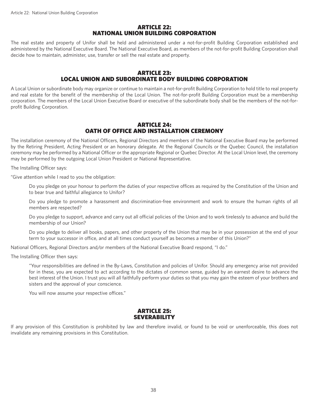# ARTICLE 22: NATIONAL UNION BUILDING CORPORATION

The real estate and property of Unifor shall be held and administered under a not-for-profit Building Corporation established and administered by the National Executive Board. The National Executive Board, as members of the not-for-profit Building Corporation shall decide how to maintain, administer, use, transfer or sell the real estate and property.

# ARTICLE 23: LOCAL UNION AND SUBORDINATE BODY BUILDING CORPORATION

A Local Union or subordinate body may organize or continue to maintain a not-for-profit Building Corporation to hold title to real property and real estate for the benefit of the membership of the Local Union. The not-for-profit Building Corporation must be a membership corporation. The members of the Local Union Executive Board or executive of the subordinate body shall be the members of the not-forprofit Building Corporation.

# ARTICLE 24: OATH OF OFFICE AND INSTALLATION CEREMONY

The installation ceremony of the National Officers, Regional Directors and members of the National Executive Board may be performed by the Retiring President, Acting President or an honorary delegate. At the Regional Councils or the Quebec Council, the installation ceremony may be performed by a National Officer or the appropriate Regional or Quebec Director. At the Local Union level, the ceremony may be performed by the outgoing Local Union President or National Representative.

The Installing Officer says:

"Give attention while I read to you the obligation:

 Do you pledge on your honour to perform the duties of your respective offices as required by the Constitution of the Union and to bear true and faithful allegiance to Unifor?

 Do you pledge to promote a harassment and discrimination-free environment and work to ensure the human rights of all members are respected?

 Do you pledge to support, advance and carry out all official policies of the Union and to work tirelessly to advance and build the membership of our Union?

 Do you pledge to deliver all books, papers, and other property of the Union that may be in your possession at the end of your term to your successor in office, and at all times conduct yourself as becomes a member of this Union?"

National Officers, Regional Directors and/or members of the National Executive Board respond, "I do."

The Installing Officer then says:

 "Your responsibilities are defined in the By-Laws, Constitution and policies of Unifor. Should any emergency arise not provided for in these, you are expected to act according to the dictates of common sense, guided by an earnest desire to advance the best interest of the Union. I trust you will all faithfully perform your duties so that you may gain the esteem of your brothers and sisters and the approval of your conscience.

You will now assume your respective offices."

# ARTICLE 25: **SEVERABILITY**

If any provision of this Constitution is prohibited by law and therefore invalid, or found to be void or unenforceable, this does not invalidate any remaining provisions in this Constitution.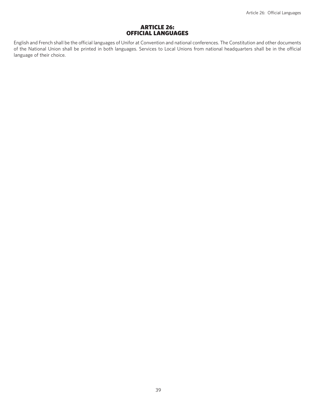## ARTICLE 26: OFFICIAL LANGUAGES

English and French shall be the official languages of Unifor at Convention and national conferences. The Constitution and other documents of the National Union shall be printed in both languages. Services to Local Unions from national headquarters shall be in the official language of their choice.